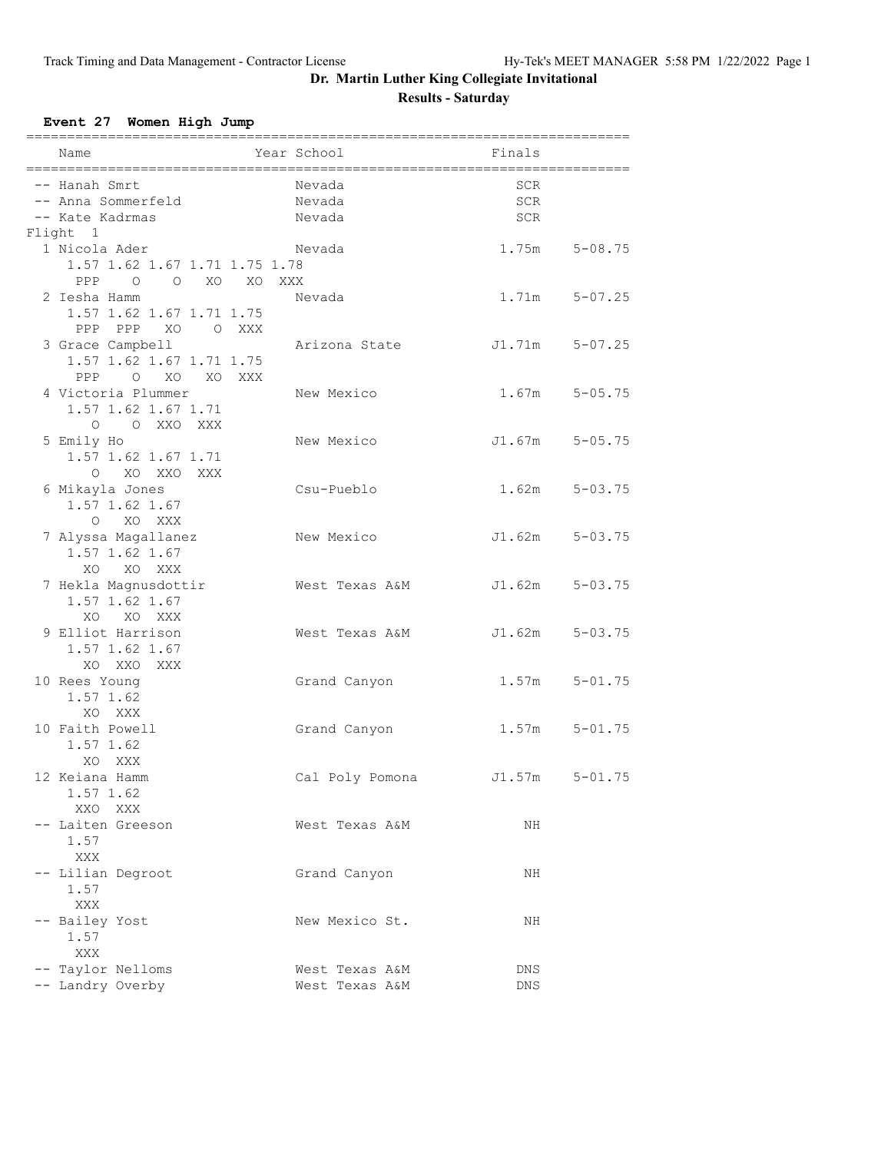### **Event 27 Women High Jump**

| Name                                   | Year School                      | Finals             |                   |
|----------------------------------------|----------------------------------|--------------------|-------------------|
| ;===================================== |                                  |                    |                   |
| -- Hanah Smrt                          | Nevada                           | SCR                |                   |
| -- Anna Sommerfeld                     | Nevada                           | SCR                |                   |
| -- Kate Kadrmas                        | Nevada                           | SCR                |                   |
| Flight 1                               |                                  |                    |                   |
| 1 Nicola Ader                          | Nevada                           |                    | 1.75m 5-08.75     |
| 1.57 1.62 1.67 1.71 1.75 1.78          |                                  |                    |                   |
| O O XO XO XXX<br>PPP<br>2 Iesha Hamm   |                                  |                    |                   |
|                                        | Nevada                           |                    | $1.71m$ $5-07.25$ |
| 1.57 1.62 1.67 1.71 1.75               |                                  |                    |                   |
| PPP PPP XO OXXX                        |                                  |                    |                   |
| 3 Grace Campbell                       | Arizona State                    | J1.71m 5-07.25     |                   |
| 1.57 1.62 1.67 1.71 1.75               |                                  |                    |                   |
| O XO XO XXX<br>PPP                     |                                  |                    |                   |
| 4 Victoria Plummer                     | New Mexico                       |                    | $1.67m$ $5-05.75$ |
| 1.57 1.62 1.67 1.71                    |                                  |                    |                   |
| O O XXO XXX                            |                                  |                    |                   |
| 5 Emily Ho                             | New Mexico                       | $J1.67m$ $5-05.75$ |                   |
| 1.57 1.62 1.67 1.71                    |                                  |                    |                   |
| O XO XXO XXX                           |                                  |                    |                   |
| 6 Mikayla Jones                        | Csu-Pueblo                       |                    | $1.62m$ $5-03.75$ |
| 1.57 1.62 1.67                         |                                  |                    |                   |
| $\cap$<br>XO XXX                       |                                  |                    |                   |
| 7 Alyssa Magallanez                    | New Mexico                       | $J1.62m$ $5-03.75$ |                   |
| 1.57 1.62 1.67                         |                                  |                    |                   |
| XO XO XXX                              |                                  |                    |                   |
| 7 Hekla Magnusdottir                   | West Texas A&M                   | J1.62m 5-03.75     |                   |
| 1.57 1.62 1.67                         |                                  |                    |                   |
| XO XO XXX                              |                                  |                    |                   |
| 9 Elliot Harrison                      | West Texas A&M                   | $J1.62m$ $5-03.75$ |                   |
| 1.57 1.62 1.67                         |                                  |                    |                   |
| XO XXO XXX                             |                                  |                    |                   |
| 10 Rees Young                          | Grand Canyon                     |                    | $1.57m$ $5-01.75$ |
| 1.57 1.62                              |                                  |                    |                   |
| XO XXX                                 |                                  |                    |                   |
| 10 Faith Powell                        | Grand Canyon                     | 1.57m              | $5 - 01.75$       |
| 1.57 1.62                              |                                  |                    |                   |
| XO XXX                                 |                                  |                    |                   |
| 12 Keiana Hamm                         | Cal Poly Pomona                  | J1.57m             | $5 - 01.75$       |
| 1.57 1.62                              |                                  |                    |                   |
| XXO XXX                                |                                  |                    |                   |
| -- Laiten Greeson                      | West Texas A&M                   | NH                 |                   |
| 1.57                                   |                                  |                    |                   |
| XXX                                    |                                  |                    |                   |
| -- Lilian Degroot                      | Grand Canyon                     | NH                 |                   |
| 1.57                                   |                                  |                    |                   |
| XXX                                    |                                  |                    |                   |
| -- Bailey Yost                         | New Mexico St.                   | NH                 |                   |
| 1.57                                   |                                  |                    |                   |
| XXX<br>-- Taylor Nelloms               |                                  |                    |                   |
| -- Landry Overby                       | West Texas A&M<br>West Texas A&M | DNS<br>DNS         |                   |
|                                        |                                  |                    |                   |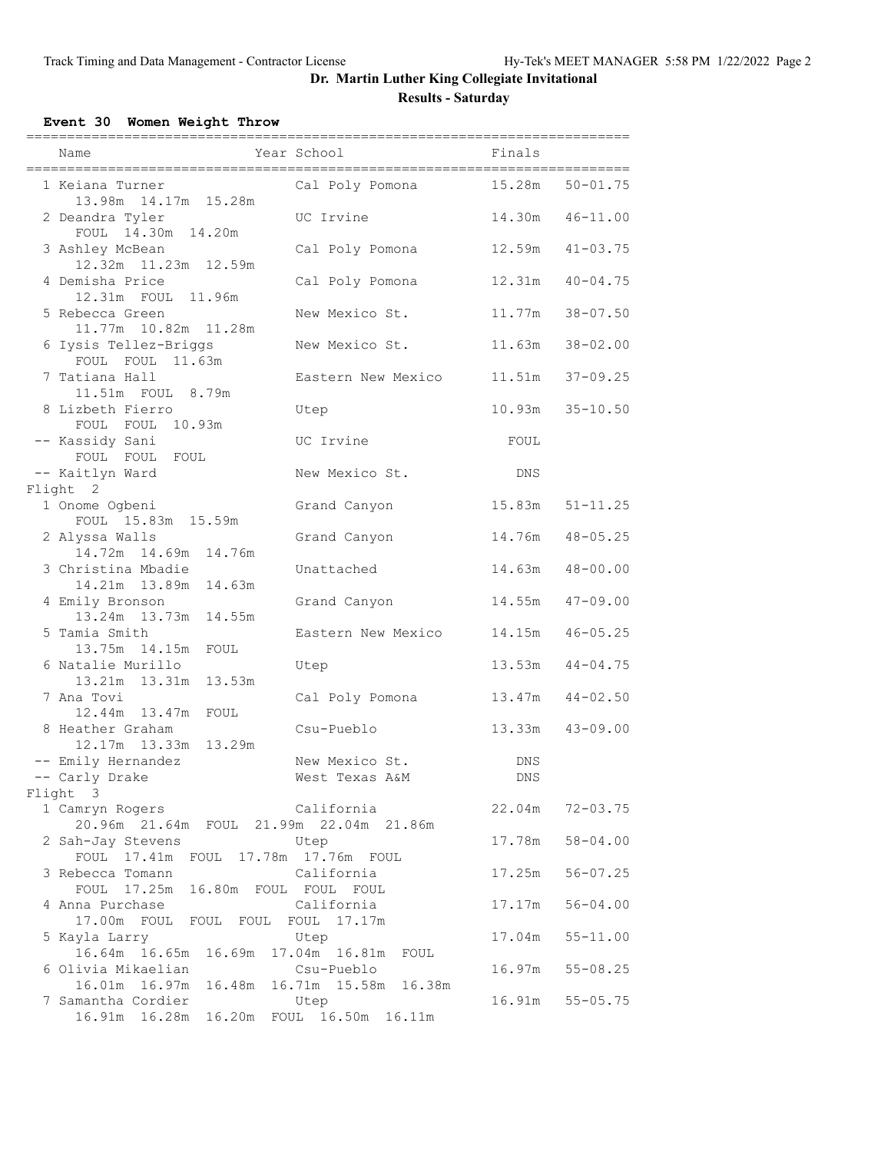### **Event 30 Women Weight Throw**

| Name                                                       | __________________<br>Year School    | =========================<br>Finals |                     |
|------------------------------------------------------------|--------------------------------------|-------------------------------------|---------------------|
| 1 Keiana Turner<br>13.98m  14.17m  15.28m                  | Cal Poly Pomona 15.28m               |                                     | $50 - 01.75$        |
| 2 Deandra Tyler<br>FOUL 14.30m 14.20m                      | UC Irvine                            |                                     | 14.30m  46-11.00    |
| 3 Ashley McBean<br>12.32m 11.23m 12.59m                    | Cal Poly Pomona                      |                                     | $12.59m$ $41-03.75$ |
| 4 Demisha Price<br>12.31m FOUL 11.96m                      | Cal Poly Pomona                      |                                     | $12.31m$ $40-04.75$ |
| 5 Rebecca Green<br>11.77m  10.82m  11.28m                  | New Mexico St.                       |                                     | 11.77m 38-07.50     |
| 6 Iysis Tellez-Briggs<br>FOUL FOUL 11.63m                  | New Mexico St.                       |                                     | 11.63m 38-02.00     |
| 7 Tatiana Hall<br>11.51m FOUL 8.79m                        | Eastern New Mexico                   |                                     | 11.51m 37-09.25     |
| 8 Lizbeth Fierro<br>FOUL FOUL 10.93m                       | Utep                                 |                                     | 10.93m 35-10.50     |
| -- Kassidy Sani<br>FOUL FOUL FOUL                          | UC Irvine                            | FOUL                                |                     |
| -- Kaitlyn Ward<br>Flight 2                                | New Mexico St.                       | DNS                                 |                     |
| 1 Onome Ogbeni<br>FOUL 15.83m 15.59m                       | Grand Canyon                         |                                     | $15.83m$ $51-11.25$ |
| 2 Alyssa Walls<br>14.72m  14.69m  14.76m                   | Grand Canyon                         |                                     | 14.76m  48-05.25    |
| 3 Christina Mbadie<br>14.21m  13.89m  14.63m               | Unattached                           | 14.63m                              | $48 - 00.00$        |
| 4 Emily Bronson<br>13.24m 13.73m 14.55m                    | Grand Canyon                         |                                     | $14.55m$ $47-09.00$ |
| 5 Tamia Smith<br>13.75m  14.15m  FOUL                      | Eastern New Mexico                   |                                     | 14.15m  46-05.25    |
| 6 Natalie Murillo<br>13.21m  13.31m  13.53m                | Utep                                 | 13.53m                              | $44 - 04.75$        |
| 7 Ana Tovi<br>12.44m 13.47m FOUL                           | Cal Poly Pomona                      | $13.47m$ $44-02.50$                 |                     |
| 8 Heather Graham<br>12.17m  13.33m<br>13.29m               | Csu-Pueblo                           | 13.33m                              | $43 - 09.00$        |
| -- Emily Hernandez<br>-- Carly Drake                       | New Mexico St.<br>West Texas A&M     | DNS<br>DNS                          |                     |
| Flight 3                                                   |                                      |                                     |                     |
| 1 Camryn Rogers<br>20.96m 21.64m FOUL 21.99m 22.04m 21.86m | California                           | 22.04m                              | $72 - 03.75$        |
| 2 Sah-Jay Stevens<br>FOUL 17.41m FOUL 17.78m 17.76m FOUL   | Utep                                 | 17.78m                              | $58 - 04.00$        |
| 3 Rebecca Tomann<br>FOUL 17.25m 16.80m FOUL FOUL FOUL      | California                           | 17.25m                              | $56 - 07.25$        |
| 4 Anna Purchase<br>17.00m FOUL FOUL FOUL FOUL              | California<br>17.17m                 | 17.17m                              | $56 - 04.00$        |
| 5 Kayla Larry<br>16.64m 16.65m<br>16.69m                   | Utep<br>17.04m  16.81m<br>FOUL       | 17.04m                              | $55 - 11.00$        |
| 6 Olivia Mikaelian<br>16.01m  16.97m<br>16.48m             | Csu-Pueblo<br>16.71m  15.58m  16.38m | 16.97m                              | $55 - 08.25$        |
| 7 Samantha Cordier<br>16.20m<br>16.91m  16.28m             | Utep<br>FOUL 16.50m<br>16.11m        | 16.91m                              | $55 - 05.75$        |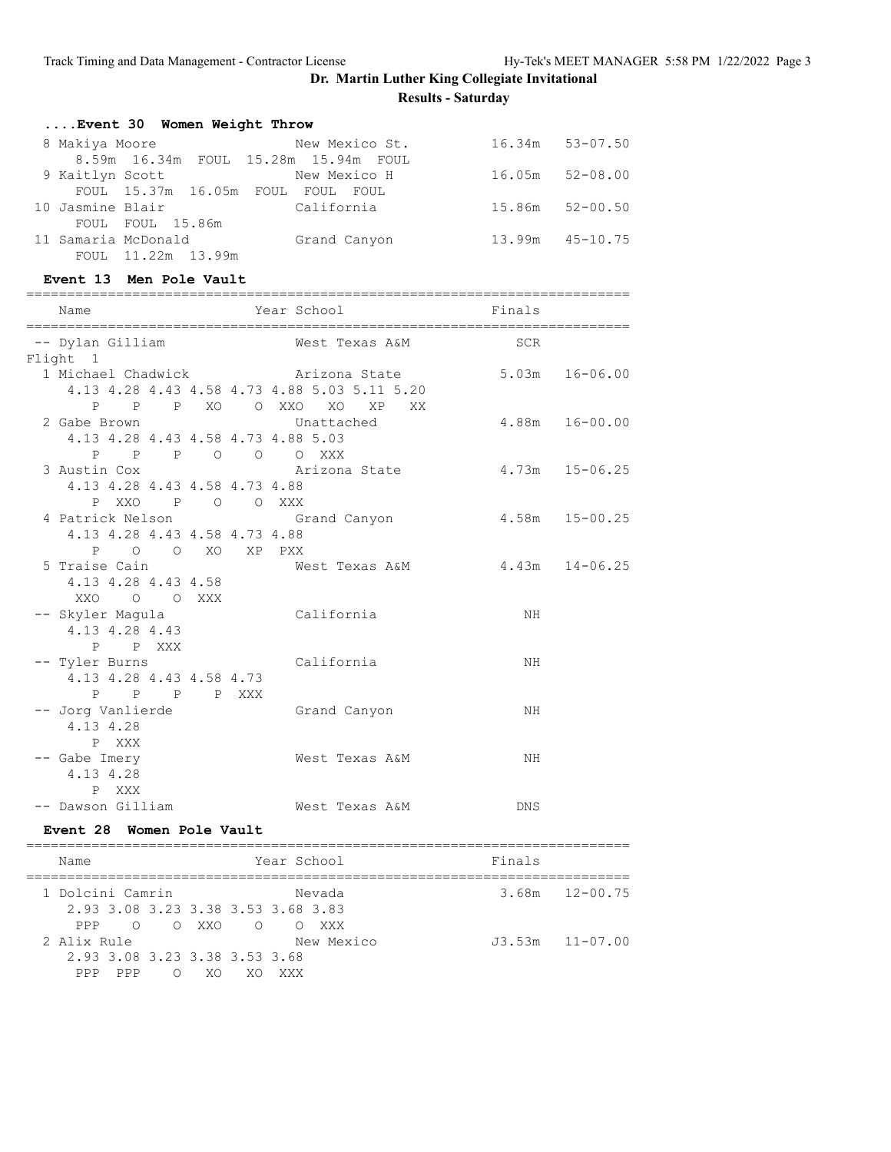| Event 30 Women Weight Throw |  |  |  |  |
|-----------------------------|--|--|--|--|
|-----------------------------|--|--|--|--|

| 8 Makiya Moore   |                         | New Mexico St.                       | $16.34m$ $53-07.50$ |
|------------------|-------------------------|--------------------------------------|---------------------|
|                  |                         | 8.59m 16.34m FOUL 15.28m 15.94m FOUL |                     |
| 9 Kaitlyn Scott  |                         | New Mexico H                         | $16.05m$ $52-08.00$ |
|                  | FOUL 15.37m 16.05m FOUL | FOUL FOUL                            |                     |
| 10 Jasmine Blair |                         | California                           | $15.86m$ $52-00.50$ |
|                  | FOUL FOUL 15.86m        |                                      |                     |
|                  | 11 Samaria McDonald     | Grand Canyon                         | $13.99m$ $45-10.75$ |
|                  | FOUL 11.22m 13.99m      |                                      |                     |

#### **Event 13 Men Pole Vault**

|                               |  | ============ |                                              |                    |                    |
|-------------------------------|--|--------------|----------------------------------------------|--------------------|--------------------|
| Name                          |  |              | Year School Finals                           |                    |                    |
| -- Dylan Gilliam<br>Flight 1  |  |              | West Texas A&M SCR                           |                    |                    |
|                               |  |              | 1 Michael Chadwick Management Arizona State  | $5.03m$ $16-06.00$ |                    |
|                               |  |              | 4.13 4.28 4.43 4.58 4.73 4.88 5.03 5.11 5.20 |                    |                    |
|                               |  |              | P P P XO O XXO XO XP XX                      |                    |                    |
| 2 Gabe Brown                  |  |              |                                              |                    | $4.88m$ $16-00.00$ |
|                               |  |              | Unattached                                   |                    |                    |
|                               |  |              | 4.13 4.28 4.43 4.58 4.73 4.88 5.03           |                    |                    |
|                               |  |              | P P P O O O XXX                              |                    |                    |
| 3 Austin Cox                  |  |              | Arizona State 4.73m  15-06.25                |                    |                    |
| 4.13 4.28 4.43 4.58 4.73 4.88 |  |              |                                              |                    |                    |
| P XXO P O O XXX               |  |              |                                              |                    |                    |
| 4 Patrick Nelson              |  |              | Grand Canyon 4.58m 15-00.25                  |                    |                    |
| 4.13 4.28 4.43 4.58 4.73 4.88 |  |              |                                              |                    |                    |
| P O O XO XP PXX               |  |              |                                              |                    |                    |
|                               |  |              | 5 Traise Cain Mest Texas A&M 4.43m 14-06.25  |                    |                    |
| 4.13 4.28 4.43 4.58           |  |              |                                              |                    |                    |
| XXO O O XXX                   |  |              |                                              |                    |                    |
|                               |  |              | -- Skyler Magula California                  | NH                 |                    |
| 4.13 4.28 4.43                |  |              |                                              |                    |                    |
| P P XXX                       |  |              |                                              |                    |                    |
| -- Tyler Burns                |  |              | California                                   | NH                 |                    |
| 4.13 4.28 4.43 4.58 4.73      |  |              |                                              |                    |                    |
| P P P P XXX                   |  |              |                                              |                    |                    |
| -- Jorg Vanlierde             |  |              | Grand Canyon                                 | NH                 |                    |
| 4.13 4.28                     |  |              |                                              |                    |                    |
|                               |  |              |                                              |                    |                    |
| P XXX                         |  |              |                                              |                    |                    |
| -- Gabe Imery                 |  |              | West Texas A&M                               | ΝH                 |                    |
| 4.13 4.28                     |  |              |                                              |                    |                    |
| P XXX                         |  |              |                                              |                    |                    |
| -- Dawson Gilliam             |  |              | West Texas A&M                               | <b>DNS</b>         |                    |

#### **Event 28 Women Pole Vault**

| Name                               | Year School     |            | Finals |                     |
|------------------------------------|-----------------|------------|--------|---------------------|
| 1 Dolcini Camrin                   |                 | Nevada     |        | $3.68m$ $12-00.75$  |
| 2.93 3.08 3.23 3.38 3.53 3.68 3.83 |                 |            |        |                     |
| PPP.                               | OOXXOOOXXX      |            |        |                     |
| 2 Alix Rule                        |                 | New Mexico |        | $J3.53m$ $11-07.00$ |
| 2.93 3.08 3.23 3.38 3.53 3.68      |                 |            |        |                     |
| PPP<br>PPP<br>∩                    | XΟ<br>XΟ<br>XXX |            |        |                     |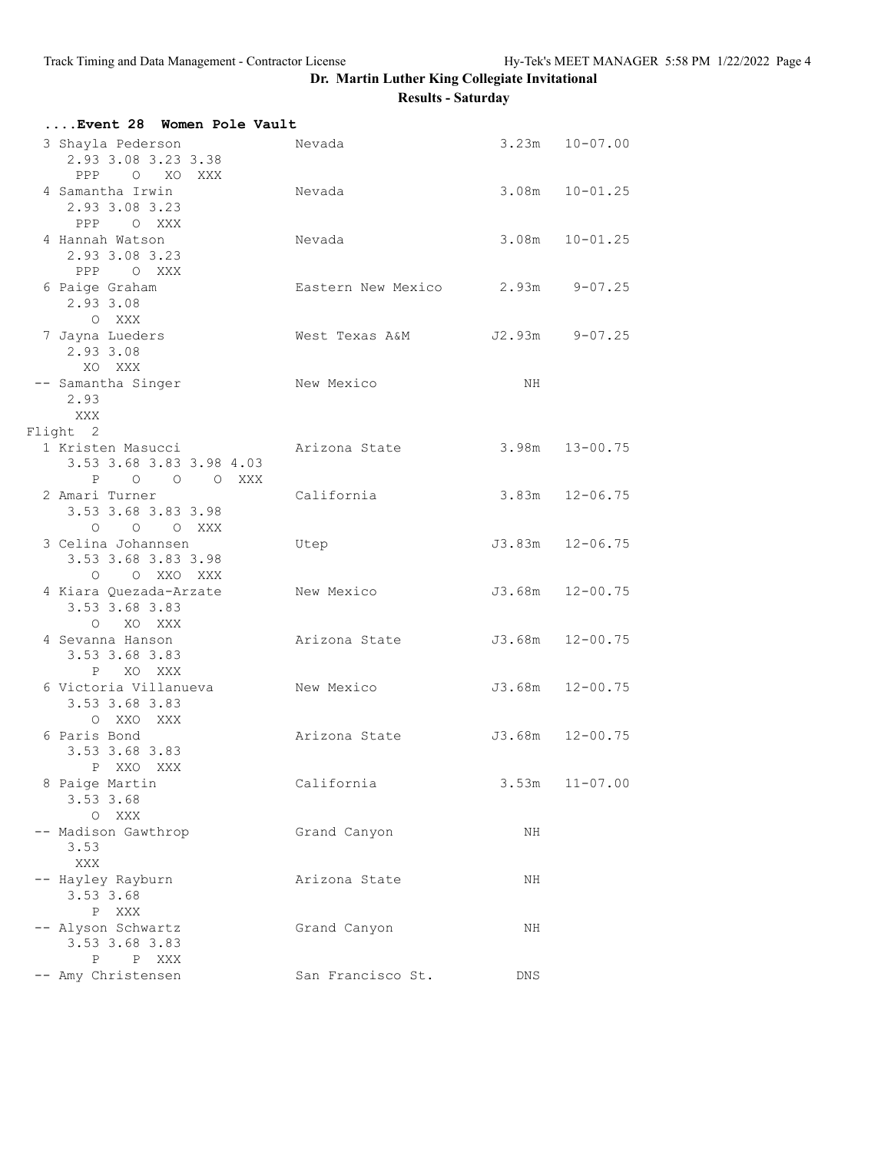| Event 28 Women Pole Vault                                    |                                  |                |                    |
|--------------------------------------------------------------|----------------------------------|----------------|--------------------|
| 3 Shayla Pederson<br>2.93 3.08 3.23 3.38<br>PPP O XO XXX     | Nevada                           |                | $3.23m$ $10-07.00$ |
| 4 Samantha Irwin<br>2.93 3.08 3.23<br>PPP OXXX               | Nevada                           |                | $3.08m$ $10-01.25$ |
| 4 Hannah Watson<br>2.93 3.08 3.23<br>PPP O XXX               | Nevada                           |                | $3.08m$ $10-01.25$ |
| 6 Paige Graham<br>2.93 3.08<br>O XXX                         | Eastern New Mexico 2.93m 9-07.25 |                |                    |
| 7 Jayna Lueders<br>2.93 3.08<br>XO XXX                       | West Texas A&M                   | J2.93m 9-07.25 |                    |
| -- Samantha Singer<br>2.93<br>XXX<br>Flight 2                | New Mexico                       | NH             |                    |
| 1 Kristen Masucci<br>3.53 3.68 3.83 3.98 4.03<br>P O O O XXX | Arizona State                    |                | $3.98m$ $13-00.75$ |
| 2 Amari Turner<br>3.53 3.68 3.83 3.98<br>$O$ $O$ $O$ $XXX$   | California                       |                | $3.83m$ $12-06.75$ |
| 3 Celina Johannsen<br>3.53 3.68 3.83 3.98<br>O O XXO XXX     | Utep                             |                | J3.83m 12-06.75    |
| 4 Kiara Quezada-Arzate<br>3.53 3.68 3.83<br>O XO XXX         | New Mexico                       |                | J3.68m 12-00.75    |
| 4 Sevanna Hanson<br>3.53 3.68 3.83<br>P XO XXX               | Arizona State                    |                | J3.68m 12-00.75    |
| 6 Victoria Villanueva<br>3.53 3.68 3.83<br>O XXO XXX         | New Mexico                       |                | J3.68m 12-00.75    |
| 6 Paris Bond<br>3.53 3.68 3.83<br>P XXO XXX                  | Arizona State                    |                | J3.68m 12-00.75    |
| 8 Paige Martin<br>3.53 3.68<br>O XXX                         | California                       | 3.53m          | $11 - 07.00$       |
| -- Madison Gawthrop<br>3.53<br><b>XXX</b>                    | Grand Canyon                     | NH             |                    |
| -- Hayley Rayburn<br>3.53 3.68<br>P XXX                      | Arizona State                    | NH             |                    |
| -- Alyson Schwartz<br>3.53 3.68 3.83<br>P P XXX              | Grand Canyon                     | NH             |                    |
| -- Amy Christensen                                           | San Francisco St.                | DNS            |                    |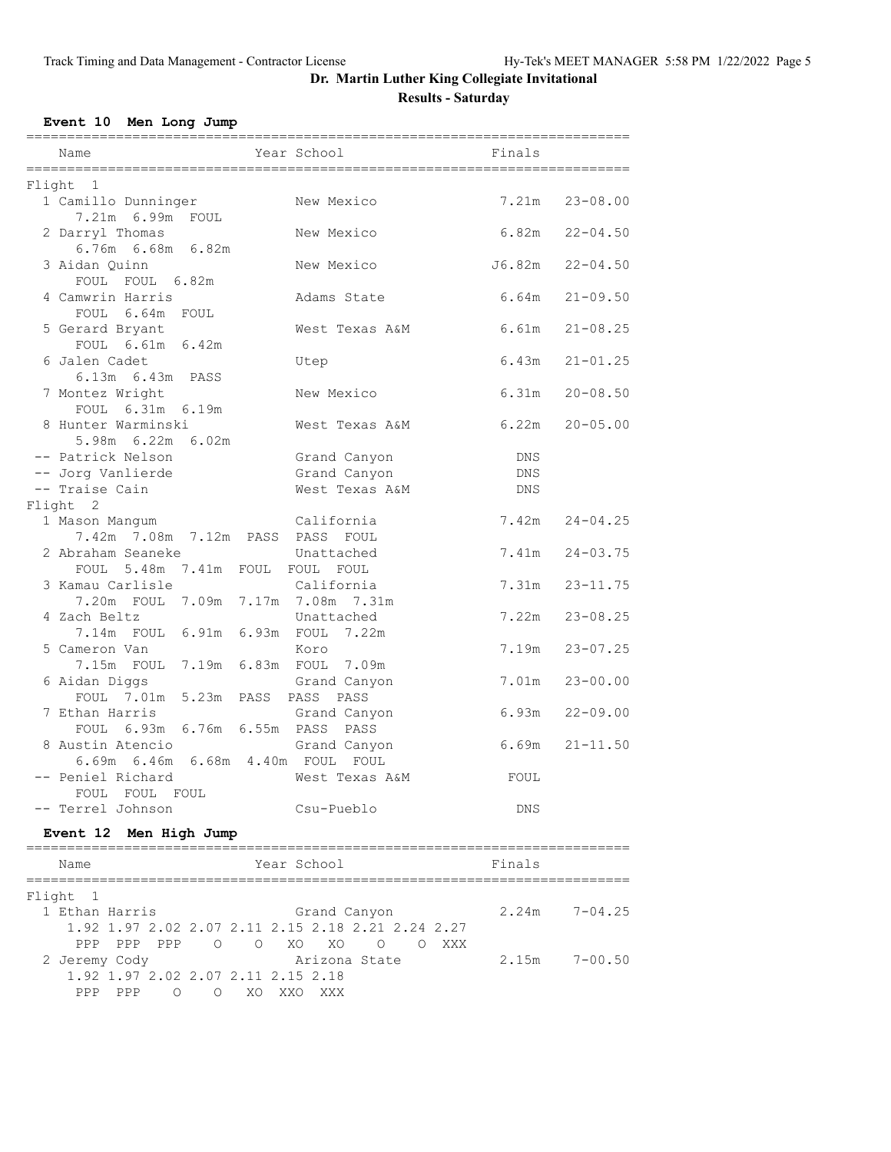# **Event 10 Men Long Jump**

| Name                                                   | Year School                  | Finals     |                    |
|--------------------------------------------------------|------------------------------|------------|--------------------|
| Flight 1                                               |                              |            |                    |
| 1 Camillo Dunninger<br>7.21m 6.99m FOUL                | New Mexico                   |            | $7.21m$ $23-08.00$ |
| 2 Darryl Thomas<br>6.76m 6.68m 6.82m                   | New Mexico                   | 6.82m      | $22 - 04.50$       |
| 3 Aidan Ouinn<br>FOUL FOUL 6.82m                       | New Mexico                   | J6.82m     | $22 - 04.50$       |
| 4 Camwrin Harris<br>FOUL 6.64m FOUL                    | Adams State                  | 6.64m      | $21 - 09.50$       |
| 5 Gerard Bryant<br>FOUL 6.61m 6.42m                    | West Texas A&M               | 6.61m      | $21 - 08.25$       |
| 6 Jalen Cadet<br>6.13m  6.43m  PASS                    | Utep                         | 6.43m      | $21 - 01.25$       |
| 7 Montez Wright<br>FOUL 6.31m 6.19m                    | New Mexico                   | 6.31m      | $20 - 08.50$       |
| 8 Hunter Warminski<br>5.98m 6.22m 6.02m                | West Texas A&M               | 6.22m      | $20 - 05.00$       |
| -- Patrick Nelson<br>-- Jorg Vanlierde                 | Grand Canyon<br>Grand Canyon | DNS<br>DNS |                    |
| -- Traise Cain                                         | West Texas A&M               | DNS        |                    |
| Flight 2                                               |                              |            |                    |
| 1 Mason Manqum<br>7.42m 7.08m 7.12m PASS PASS FOUL     | California                   |            | $7.42m$ $24-04.25$ |
| 2 Abraham Seaneke<br>FOUL 5.48m 7.41m FOUL FOUL FOUL   | Unattached                   | 7.41m      | $24 - 03.75$       |
| 3 Kamau Carlisle<br>7.20m FOUL 7.09m 7.17m 7.08m 7.31m | California                   | 7.31m      | $23 - 11.75$       |
| 4 Zach Beltz<br>7.14m FOUL 6.91m 6.93m FOUL 7.22m      | Unattached                   | 7.22m      | $23 - 08.25$       |
| 5 Cameron Van<br>7.15m FOUL 7.19m 6.83m FOUL 7.09m     | Koro                         | 7.19m      | $23 - 07.25$       |
| 6 Aidan Diggs<br>FOUL 7.01m 5.23m PASS PASS PASS       | Grand Canyon                 | 7.01m      | $23 - 00.00$       |
| 7 Ethan Harris<br>FOUL 6.93m 6.76m 6.55m PASS PASS     | Grand Canyon                 | 6.93m      | $22 - 09.00$       |
| 8 Austin Atencio<br>6.69m 6.46m 6.68m 4.40m FOUL FOUL  | Grand Canyon                 | 6.69m      | $21 - 11.50$       |
| -- Peniel Richard<br>FOUL FOUL FOUL                    | West Texas A&M               | FOUL       |                    |
| -- Terrel Johnson                                      | Csu-Pueblo                   | DNS        |                    |
| Event 12 Men High Jump                                 |                              |            |                    |

| Name           |             |   |         |                                    | Year School |     |                                                   |  |     | Finals |                   |
|----------------|-------------|---|---------|------------------------------------|-------------|-----|---------------------------------------------------|--|-----|--------|-------------------|
| Flight 1       |             |   |         |                                    |             |     |                                                   |  |     |        |                   |
| 1 Ethan Harris |             |   |         |                                    |             |     | Grand Canyon                                      |  |     |        | $2.24m$ $7-04.25$ |
|                |             |   |         |                                    |             |     | 1,92 1,97 2,02 2,07 2,11 2,15 2,18 2,21 2,24 2,27 |  |     |        |                   |
|                | PPP PPP PPP |   |         | OOXOXO                             |             |     | $\bigcirc$                                        |  | XXX |        |                   |
| 2 Jeremy Cody  |             |   |         |                                    |             |     | Arizona State                                     |  |     | 2.15m  | $7 - 00.50$       |
|                |             |   |         | 1.92 1.97 2.02 2.07 2.11 2.15 2.18 |             |     |                                                   |  |     |        |                   |
| PPP            | PPP         | Ω | $\circ$ | XO.                                |             | XXX |                                                   |  |     |        |                   |
|                |             |   |         |                                    |             |     |                                                   |  |     |        |                   |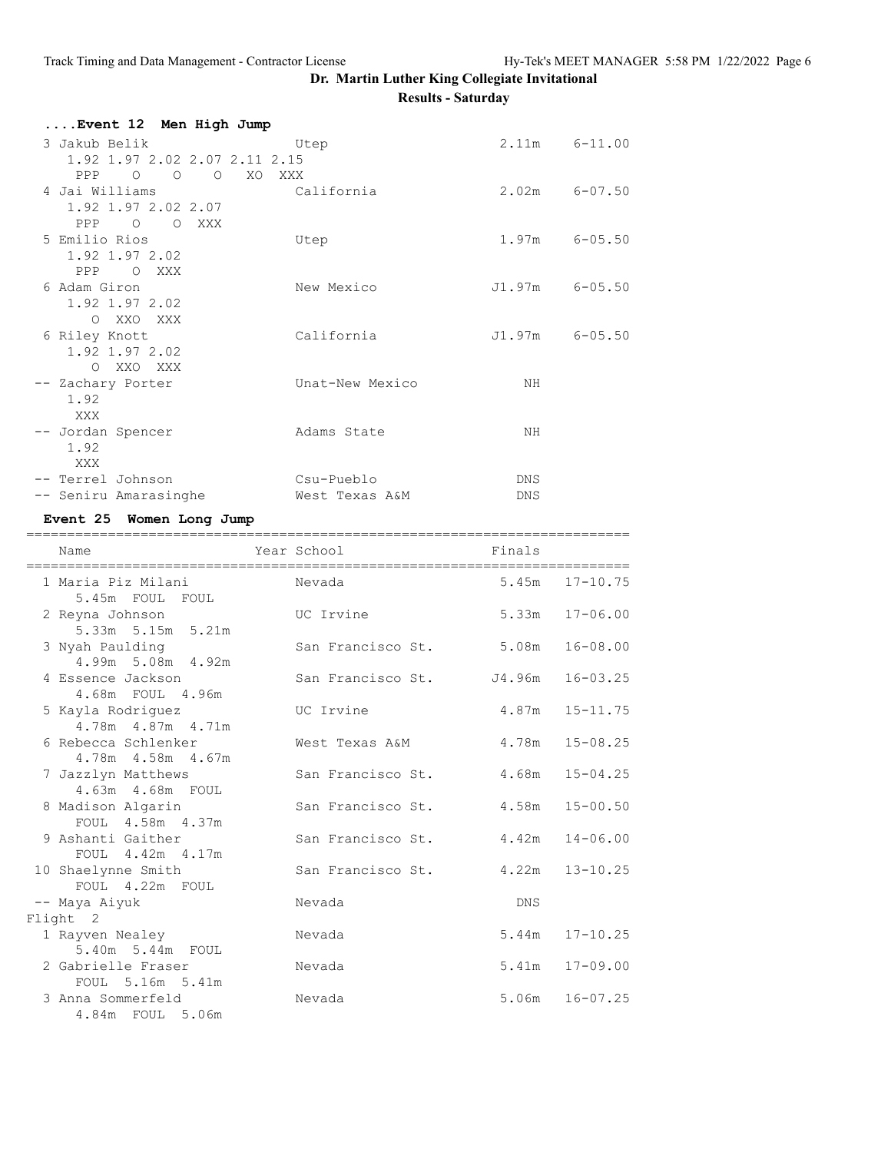| Event 12  Men High Jump                                            |                          |        |                    |
|--------------------------------------------------------------------|--------------------------|--------|--------------------|
| 3 Jakub Belik<br>1.92 1.97 2.02 2.07 2.11 2.15<br>PPP 0 0 0 XO XXX | Utep                     |        | $2.11m$ $6-11.00$  |
| 4 Jai Williams<br>1.92 1.97 2.02 2.07<br>PPP 0<br>O XXX            | California               |        | $2.02m$ $6-07.50$  |
| 5 Emilio Rios<br>1.92 1.97 2.02<br>PPP O XXX                       | Utep                     |        | $1.97m$ 6-05.50    |
| 6 Adam Giron<br>1.92 1.97 2.02<br>O XXO XXX                        | New Mexico               |        | $J1.97m$ 6-05.50   |
| 6 Riley Knott<br>1.92 1.97 2.02<br>O XXO XXX                       | California               |        | $J1.97m$ 6-05.50   |
| -- Zachary Porter<br>1.92<br>XXX                                   | Unat-New Mexico          | NH     |                    |
| -- Jordan Spencer<br>1.92<br>XXX                                   | Adams State              | NH     |                    |
| -- Terrel Johnson                                                  | Csu-Pueblo               | DNS    |                    |
| -- Seniru Amarasinghe                                              | West Texas A&M           | DNS    |                    |
| Event 25 Women Long Jump<br>.==============                        |                          |        |                    |
| Name                                                               | Year School              | Finals |                    |
|                                                                    |                          |        |                    |
| 1 Maria Piz Milani<br>5.45m FOUL FOUL                              | Nevada                   |        | $5.45m$ $17-10.75$ |
| 2 Reyna Johnson<br>5.33m 5.15m 5.21m                               | UC Irvine                | 5.33m  | $17 - 06.00$       |
| 3 Nyah Paulding<br>4.99m 5.08m 4.92m                               | San Francisco St.        | 5.08m  | $16 - 08.00$       |
| 4 Essence Jackson<br>4.68m FOUL 4.96m                              | San Francisco St. J4.96m |        | $16 - 03.25$       |
| 5 Kayla Rodriguez<br>4.78m  4.87m  4.71m                           | UC Irvine                | 4.87m  | $15 - 11.75$       |
| 6 Rebecca Schlenker<br>$4.78m$ $4.58m$ $4.67m$                     | West Texas A&M           | 4.78m  | $15 - 08.25$       |
| 7 Jazzlyn Matthews<br>4.63m  4.68m  FOUL                           | San Francisco St.        | 4.68m  | $15 - 04.25$       |
| 8 Madison Algarin                                                  | San Francisco St.        | 4.58m  | $15 - 00.50$       |
| FOUL 4.58m 4.37m<br>9 Ashanti Gaither                              | San Francisco St.        | 4.42m  | $14 - 06.00$       |
| FOUL 4.42m 4.17m<br>10 Shaelynne Smith                             | San Francisco St.        | 4.22m  | $13 - 10.25$       |
| FOUL 4.22m FOUL<br>-- Maya Aiyuk                                   | Nevada                   | DNS    |                    |
| Flight 2                                                           |                          |        |                    |
| 1 Rayven Nealey                                                    | Nevada                   | 5.44m  | $17 - 10.25$       |
| 5.40m 5.44m FOUL<br>2 Gabrielle Fraser<br>FOUL 5.16m 5.41m         | Nevada                   | 5.41m  | $17 - 09.00$       |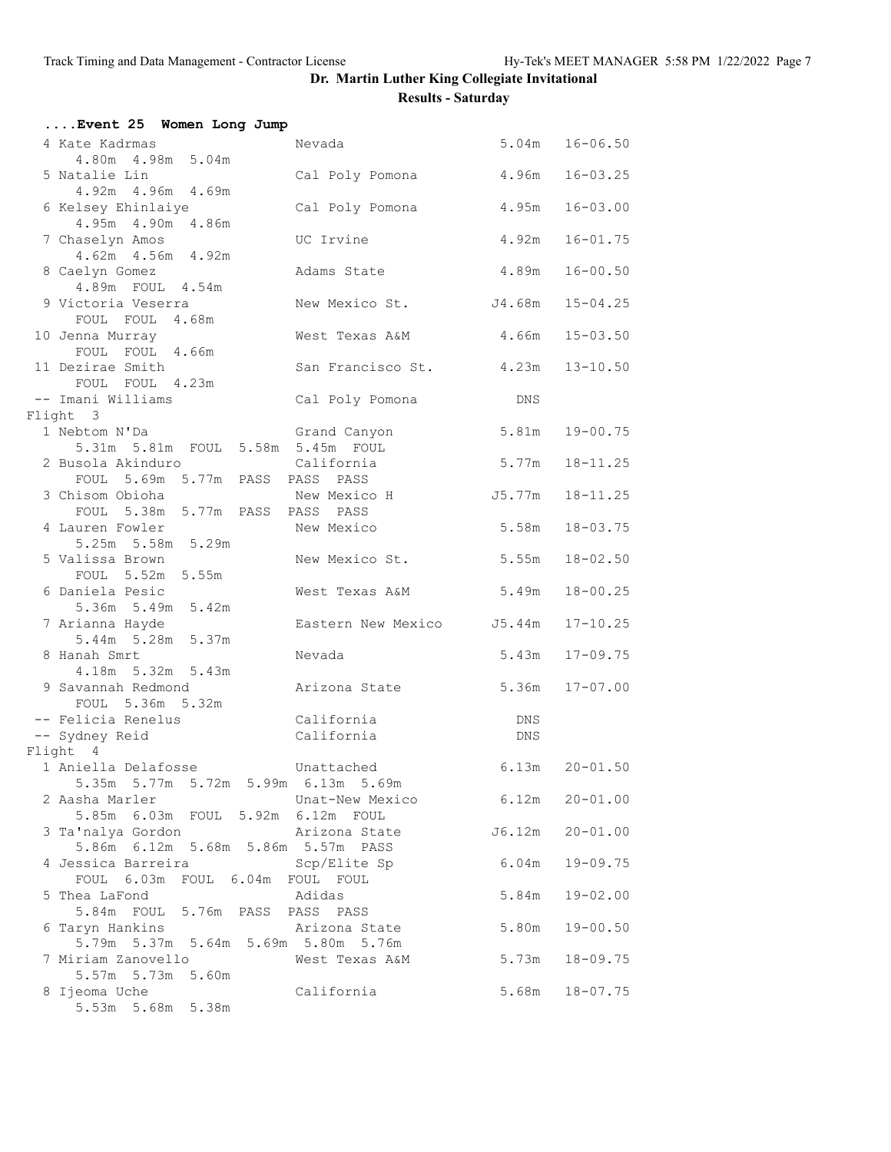| Event 25 Women Long Jump                               |                           |                    |                    |
|--------------------------------------------------------|---------------------------|--------------------|--------------------|
| 4 Kate Kadrmas                                         | Nevada                    |                    | $5.04m$ $16-06.50$ |
| 4.80m  4.98m  5.04m                                    |                           |                    |                    |
| 5 Natalie Lin                                          | Cal Poly Pomona           | 4.96m              | $16 - 03.25$       |
| 4.92m 4.96m 4.69m<br>6 Kelsey Ehinlaiye                | Cal Poly Pomona           | 4.95m              | $16 - 03.00$       |
| 4.95m  4.90m  4.86m                                    |                           |                    |                    |
| 7 Chaselyn Amos                                        | UC Irvine                 | 4.92m              | $16 - 01.75$       |
| 4.62m  4.56m  4.92m                                    |                           |                    |                    |
| 8 Caelyn Gomez                                         | Adams State               | 4.89m              | $16 - 00.50$       |
| 4.89m FOUL 4.54m                                       |                           |                    |                    |
| 9 Victoria Veserra<br>FOUL FOUL 4.68m                  | New Mexico St. J4.68m     |                    | $15 - 04.25$       |
| 10 Jenna Murray                                        | West Texas A&M            | 4.66m              | $15 - 03.50$       |
| FOUL FOUL 4.66m                                        |                           |                    |                    |
| 11 Dezirae Smith                                       | San Francisco St. 4.23m   |                    | $13 - 10.50$       |
| FOUL FOUL 4.23m                                        |                           |                    |                    |
| -- Imani Williams                                      | Cal Poly Pomona           | DNS                |                    |
| Flight 3<br>1 Nebtom N'Da                              |                           | 5.81m              | $19 - 00.75$       |
| 5.31m 5.81m FOUL 5.58m 5.45m FOUL                      | Grand Canyon              |                    |                    |
| 2 Busola Akinduro                                      | California                | 5.77m              | $18 - 11.25$       |
| FOUL 5.69m 5.77m PASS PASS PASS                        |                           |                    |                    |
| 3 Chisom Obioha                                        | New Mexico H              | J5.77m             | $18 - 11.25$       |
| FOUL 5.38m 5.77m PASS PASS PASS<br>4 Lauren Fowler     |                           |                    |                    |
| 5.25m 5.58m 5.29m                                      | New Mexico                | 5.58m              | $18 - 03.75$       |
| 5 Valissa Brown                                        | New Mexico St.            | 5.55m              | $18 - 02.50$       |
| FOUL 5.52m 5.55m                                       |                           |                    |                    |
| 6 Daniela Pesic                                        | West Texas A&M            | 5.49m              | $18 - 00.25$       |
| 5.36m 5.49m 5.42m                                      |                           |                    |                    |
| 7 Arianna Hayde<br>5.44m 5.28m 5.37m                   | Eastern New Mexico J5.44m |                    | $17 - 10.25$       |
| 8 Hanah Smrt                                           | Nevada                    | 5.43m              | $17 - 09.75$       |
| 4.18m 5.32m 5.43m                                      |                           |                    |                    |
| 9 Savannah Redmond                                     | Arizona State             | 5.36m              | $17 - 07.00$       |
| FOUL 5.36m 5.32m                                       |                           |                    |                    |
| -- Felicia Renelus<br>-- Sydney Reid                   | California<br>California  | DNS<br>DNS         |                    |
| Flight 4                                               |                           |                    |                    |
| 1 Aniella Delafosse                                    | Unattached                | 6.13m              | $20 - 01.50$       |
| 5.35m 5.77m 5.72m 5.99m 6.13m 5.69m                    |                           |                    |                    |
| 2 Aasha Marler                                         | Unat-New Mexico           | $6.12m$ $20-01.00$ |                    |
| 5.85m 6.03m FOUL 5.92m 6.12m FOUL<br>3 Ta'nalya Gordon | Arizona State             |                    |                    |
| 5.86m 6.12m 5.68m 5.86m 5.57m PASS                     |                           | J6.12m             | $20 - 01.00$       |
| 4 Jessica Barreira                                     | Scp/Elite Sp              | 6.04m              | $19 - 09.75$       |
| FOUL 6.03m FOUL 6.04m FOUL FOUL                        |                           |                    |                    |
| 5 Thea LaFond                                          | Adidas                    | 5.84m              | $19 - 02.00$       |
| 5.84m FOUL 5.76m PASS PASS PASS                        |                           |                    |                    |
| 6 Taryn Hankins<br>5.79m 5.37m 5.64m 5.69m 5.80m 5.76m | Arizona State             | 5.80m              | $19 - 00.50$       |
| 7 Miriam Zanovello                                     | West Texas A&M            | 5.73m              | $18 - 09.75$       |
| 5.57m 5.73m 5.60m                                      |                           |                    |                    |
| 8 Ijeoma Uche                                          | California                |                    | $5.68m$ $18-07.75$ |
| 5.53m 5.68m 5.38m                                      |                           |                    |                    |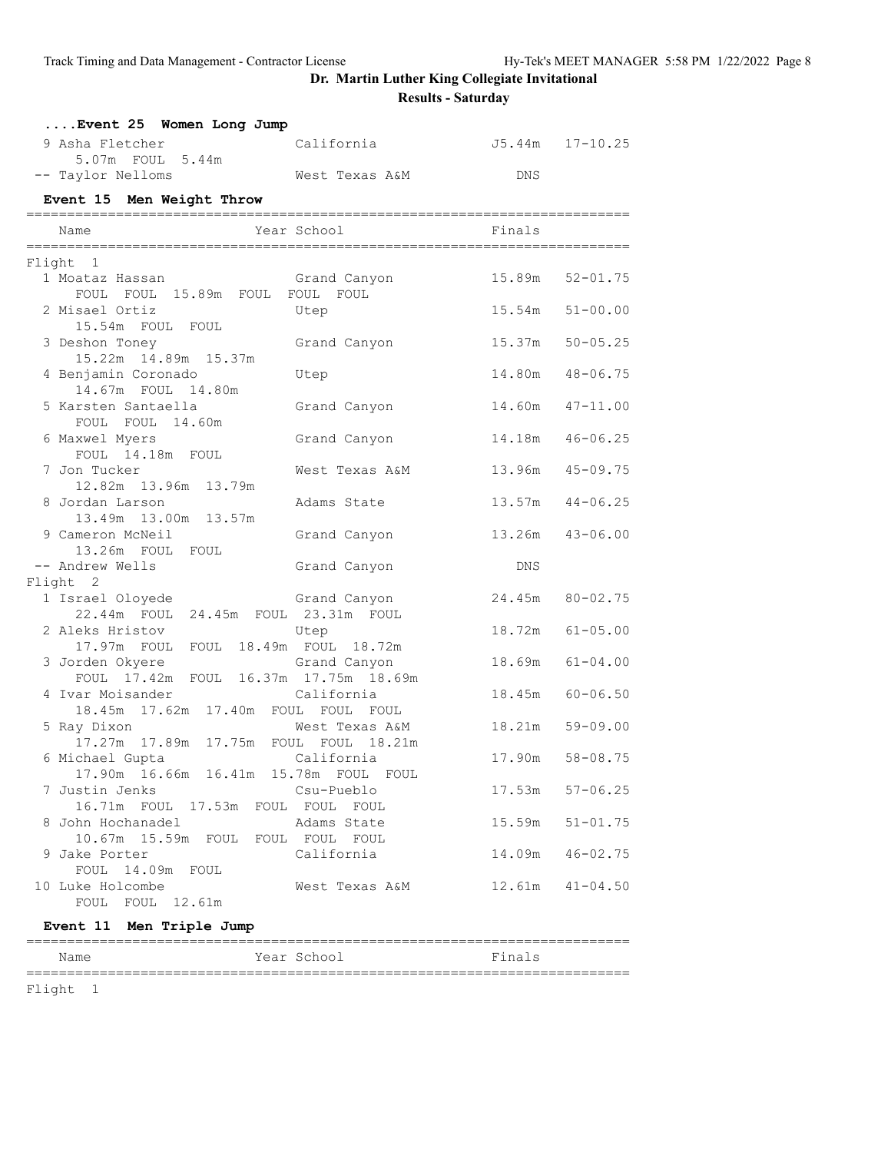| Event 25 Women Long Jump                                      |                |                          |                 |
|---------------------------------------------------------------|----------------|--------------------------|-----------------|
| 9 Asha Fletcher<br>5.07m FOUL 5.44m                           | California     | J5.44m 17-10.25          |                 |
| -- Taylor Nelloms                                             | West Texas A&M | DNS                      |                 |
| Event 15 Men Weight Throw                                     |                |                          |                 |
|                                                               |                |                          |                 |
| Name                                                          | Year School    | <b>Example 19</b> Finals |                 |
| Flight 1                                                      |                |                          |                 |
| 1 Moataz Hassan<br>FOUL FOUL 15.89m FOUL FOUL FOUL            | Grand Canyon   | 15.89m                   | $52 - 01.75$    |
| 2 Misael Ortiz<br>15.54m FOUL FOUL                            | Utep           | 15.54m                   | $51 - 00.00$    |
| 3 Deshon Toney<br>15.22m  14.89m  15.37m                      | Grand Canyon   | 15.37m                   | $50 - 05.25$    |
| 4 Benjamin Coronado<br>14.67m FOUL 14.80m                     | Utep           | 14.80m                   | $48 - 06.75$    |
| 5 Karsten Santaella<br>FOUL FOUL 14.60m                       | Grand Canyon   | 14.60m                   | $47 - 11.00$    |
| 6 Maxwel Myers<br>FOUL 14.18m FOUL                            | Grand Canyon   | 14.18m                   | $46 - 06.25$    |
| 7 Jon Tucker<br>12.82m 13.96m 13.79m                          | West Texas A&M | 13.96m                   | $45 - 09.75$    |
| 8 Jordan Larson<br>13.49m 13.00m 13.57m                       | Adams State    | 13.57m                   | $44 - 06.25$    |
| 9 Cameron McNeil<br>13.26m FOUL FOUL                          | Grand Canyon   | 13.26m                   | $43 - 06.00$    |
| -- Andrew Wells                                               | Grand Canyon   | <b>DNS</b>               |                 |
| Flight 2                                                      |                |                          |                 |
| 1 Israel Oloyede<br>22.44m FOUL 24.45m FOUL 23.31m FOUL       | Grand Canyon   | 24.45m                   | $80 - 02.75$    |
| 2 Aleks Hristov<br>17.97m FOUL FOUL 18.49m FOUL 18.72m        | Utep           | 18.72m                   | $61 - 05.00$    |
| 3 Jorden Okyere<br>FOUL 17.42m FOUL 16.37m 17.75m 18.69m      | Grand Canyon   | 18.69m                   | $61 - 04.00$    |
| 4 Ivar Moisander<br>18.45m  17.62m  17.40m  FOUL  FOUL  FOUL  | California     | 18.45m                   | $60 - 06.50$    |
| 5 Ray Dixon<br>17.27m  17.89m  17.75m  FOUL  FOUL  18.21m     | West Texas A&M | 18.21m                   | $59 - 09.00$    |
| 6 Michael Gupta<br>17.90m  16.66m  16.41m  15.78m  FOUL  FOUL | California     |                          | 17.90m 58-08.75 |
| 7 Justin Jenks<br>16.71m FOUL 17.53m FOUL FOUL FOUL           | Csu-Pueblo     | 17.53m                   | $57 - 06.25$    |
| 8 John Hochanadel<br>10.67m 15.59m FOUL FOUL FOUL FOUL        | Adams State    | 15.59m                   | $51 - 01.75$    |
| 9 Jake Porter<br>FOUL 14.09m FOUL                             | California     | 14.09m                   | $46 - 02.75$    |
| 10 Luke Holcombe<br>FOUL FOUL 12.61m                          | West Texas A&M | 12 <b>.</b> 61m          | $41 - 04.50$    |

#### **Event 11 Men Triple Jump**

| Name | Year School | Finals |
|------|-------------|--------|
|      |             |        |

Flight 1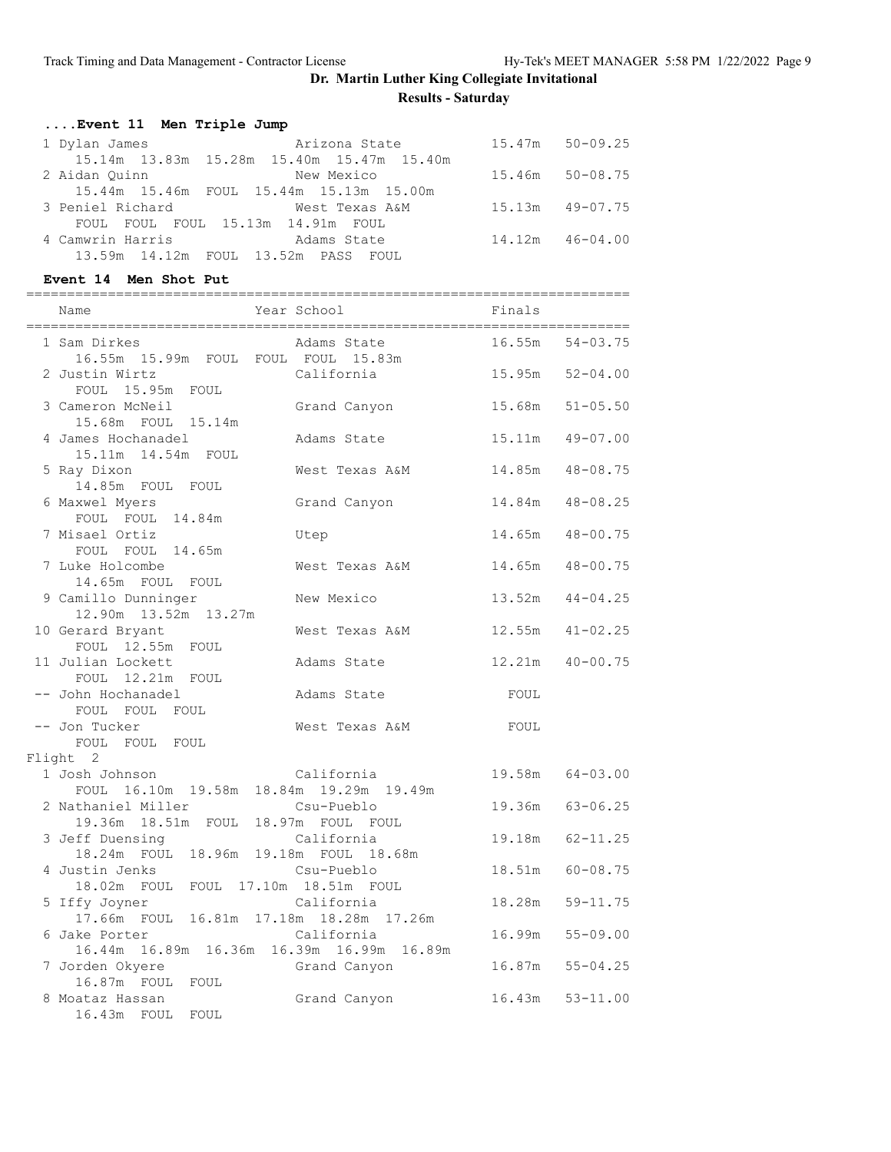|               | Event 11 Men Triple Jump |               |                     |
|---------------|--------------------------|---------------|---------------------|
| 1 Dvlan James |                          | Arizona State | $15.47m$ $50-09.25$ |

| $\perp$ <i>D</i> $\vee$ $\perp$ Gill $\cup$ Gillic $\cup$ | $111 + 11111$                                  | $1.111$ $1.11$      |
|-----------------------------------------------------------|------------------------------------------------|---------------------|
|                                                           | 15.14m  13.83m  15.28m  15.40m  15.47m  15.40m |                     |
| 2 Aidan Ouinn                                             | New Mexico                                     | 15.46m 50-08.75     |
|                                                           | 15.44m 15.46m FOUL 15.44m 15.13m 15.00m        |                     |
| 3 Peniel Richard                                          | West Texas A&M                                 | $15.13m$ $49-07.75$ |
|                                                           | FOUL FOUL FOUL 15.13m 14.91m FOUL              |                     |
| 4 Camwrin Harris                                          | Adams State                                    | $14.12m$ $46-04.00$ |
|                                                           | 13.59m 14.12m FOUL 13.52m PASS FOUL            |                     |

==========================================================================

#### **Event 14 Men Shot Put**

Name **School** Year School Finals ========================================================================== 1 Sam Dirkes Adams State 16.55m 54-03.75 16.55m 15.99m FOUL FOUL FOUL 15.83m 2 Justin Wirtz California 15.95m 52-04.00 FOUL 15.95m FOUL<br>ameron McNeil 3 Cameron McNeil Grand Canyon 15.68m 51-05.50 15.68m FOUL 15.14m 4 James Hochanadel Adams State 15.11m 49-07.00 15.11m 14.54m FOUL 5 Ray Dixon West Texas A&M 14.85m 48-08.75 14.85m FOUL FOUL 6 Maxwel Myers Grand Canyon 14.84m 48-08.25 FOUL FOUL 14.84m 7 Misael Ortiz Utep 14.65m 48-00.75 FOUL FOUL 14.65m 7 Luke Holcombe West Texas A&M 14.65m 48-00.75 14.65m FOUL FOUL 9 Camillo Dunninger New Mexico 13.52m 44-04.25 12.90m 13.52m 13.27m 10 Gerard Bryant West Texas A&M 12.55m 41-02.25 FOUL 12.55m FOUL 11 Julian Lockett<br>FOUL 12.21m FOUT Adams State 12.21m 40-00.75 FOUL 12.21m FOUL<br>-- John Hochanadel Adams State FOUL FOUL FOUL FOUL -- Jon Tucker Nest Texas A&M FOUL FOUL FOUL FOUL Flight 2 1 Josh Johnson California 19.58m 64-03.00 FOUL 16.10m 19.58m 18.84m 19.29m 19.49m 2 Nathaniel Miller Csu-Pueblo 19.36m 63-06.25 19.36m 18.51m FOUL 18.97m FOUL FOUL 3 Jeff Duensing California 19.18m 62-11.25 18.24m FOUL 18.96m 19.18m FOUL 18.68m 4 Justin Jenks Csu-Pueblo 18.51m 60-08.75 18.02m FOUL FOUL 17.10m 18.51m FOUL 5 Iffy Joyner California 18.28m 59-11.75 17.66m FOUL 16.81m 17.18m 18.28m 17.26m 6 Jake Porter California 16.99m 55-09.00 16.44m 16.89m 16.36m 16.39m 16.99m 16.89m 10.33m 10.03m 10.03m 10.03m 10.03m 10.03m 10.03m 10.03m 10.03m 16.87m 55-04.25<br>Grand Canyon 16.87m 55-04.25 16.87m FOUL FOUL 8 Moataz Hassan Grand Canyon 16.43m 53-11.00<br>8 Moataz Hassan Grand Canyon 16.43m 53-11.00 16.43m FOUL FOUL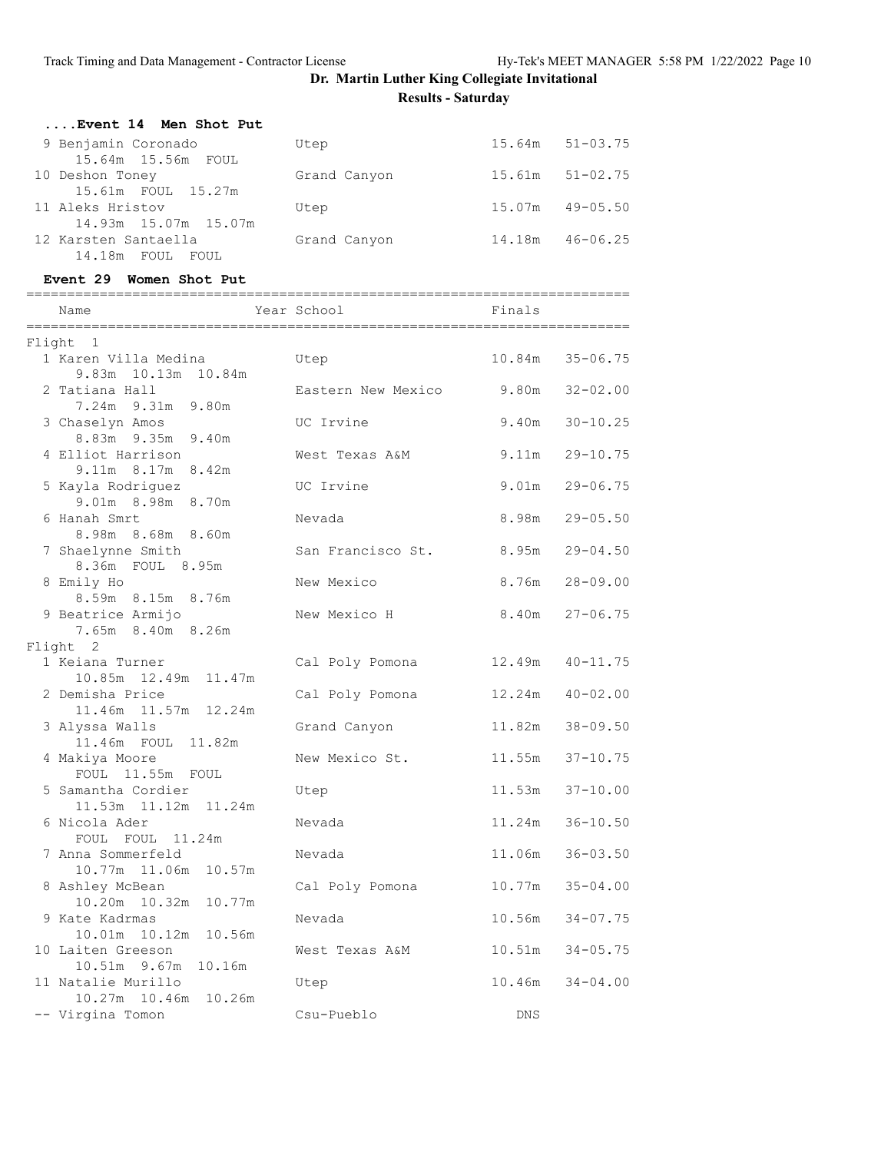| Event 14 Men Shot Put |              |        |              |
|-----------------------|--------------|--------|--------------|
| 9 Benjamin Coronado   | Utep         | 15.64m | 51-03.75     |
| 15.64m 15.56m FOUL    |              |        |              |
| 10 Deshon Toney       | Grand Canyon | 15.61m | $51 - 02.75$ |
| 15.61m FOUL 15.27m    |              |        |              |
| 11 Aleks Hristov      | Utep         | 15.07m | $49 - 05.50$ |
| 14.93m 15.07m 15.07m  |              |        |              |
| 12 Karsten Santaella  | Grand Canyon | 14.18m | $46 - 06.25$ |
| 14.18m FOUL<br>FOUL.  |              |        |              |

#### **Event 29 Women Shot Put**

| Name                                        | Year School        | ------------------------<br>Finals |                    |
|---------------------------------------------|--------------------|------------------------------------|--------------------|
| Flight 1                                    |                    |                                    |                    |
| 1 Karen Villa Medina<br>9.83m 10.13m 10.84m | Utep               | 10.84m                             | $35 - 06.75$       |
| 2 Tatiana Hall<br>7.24m 9.31m 9.80m         | Eastern New Mexico |                                    | $9.80m$ $32-02.00$ |
| 3 Chaselyn Amos<br>8.83m 9.35m 9.40m        | UC Irvine          | 9.40m                              | $30 - 10.25$       |
| 4 Elliot Harrison<br>9.11m 8.17m 8.42m      | West Texas A&M     | 9.11m                              | $29 - 10.75$       |
| 5 Kayla Rodriguez<br>9.01m 8.98m 8.70m      | UC Irvine          | 9.01m                              | $29 - 06.75$       |
| 6 Hanah Smrt<br>8.98m 8.68m 8.60m           | Nevada             | 8.98m                              | $29 - 05.50$       |
| 7 Shaelynne Smith<br>8.36m FOUL 8.95m       | San Francisco St.  | 8.95m                              | $29 - 04.50$       |
| 8 Emily Ho<br>8.59m 8.15m 8.76m             | New Mexico         | 8.76m                              | 28-09.00           |
| 9 Beatrice Armijo<br>7.65m 8.40m 8.26m      | New Mexico H       | 8.40m                              | $27 - 06.75$       |
| Flight 2                                    |                    |                                    |                    |
| 1 Keiana Turner<br>10.85m  12.49m  11.47m   | Cal Poly Pomona    | 12.49m                             | $40 - 11.75$       |
| 2 Demisha Price<br>11.46m  11.57m  12.24m   | Cal Poly Pomona    | 12.24m                             | $40 - 02.00$       |
| 3 Alyssa Walls<br>11.46m FOUL 11.82m        | Grand Canyon       |                                    | 11.82m 38-09.50    |
| 4 Makiya Moore<br>FOUL 11.55m FOUL          | New Mexico St.     | 11.55m                             | $37 - 10.75$       |
| 5 Samantha Cordier<br>11.53m 11.12m 11.24m  | Utep               | 11.53m                             | $37 - 10.00$       |
| 6 Nicola Ader<br>FOUL FOUL 11.24m           | Nevada             | 11.24m                             | $36 - 10.50$       |
| 7 Anna Sommerfeld<br>10.77m 11.06m 10.57m   | Nevada             | 11.06m                             | $36 - 03.50$       |
| 8 Ashley McBean<br>10.20m  10.32m<br>10.77m | Cal Poly Pomona    | 10.77m                             | $35 - 04.00$       |
| 9 Kate Kadrmas<br>10.01m  10.12m  10.56m    | Nevada             |                                    | 10.56m 34-07.75    |
| 10 Laiten Greeson<br>10.51m 9.67m 10.16m    | West Texas A&M     | 10.51m                             | $34 - 05.75$       |
| 11 Natalie Murillo<br>10.27m 10.46m 10.26m  | Utep               | 10.46m                             | $34 - 04.00$       |
| -- Virgina Tomon                            | Csu-Pueblo         | <b>DNS</b>                         |                    |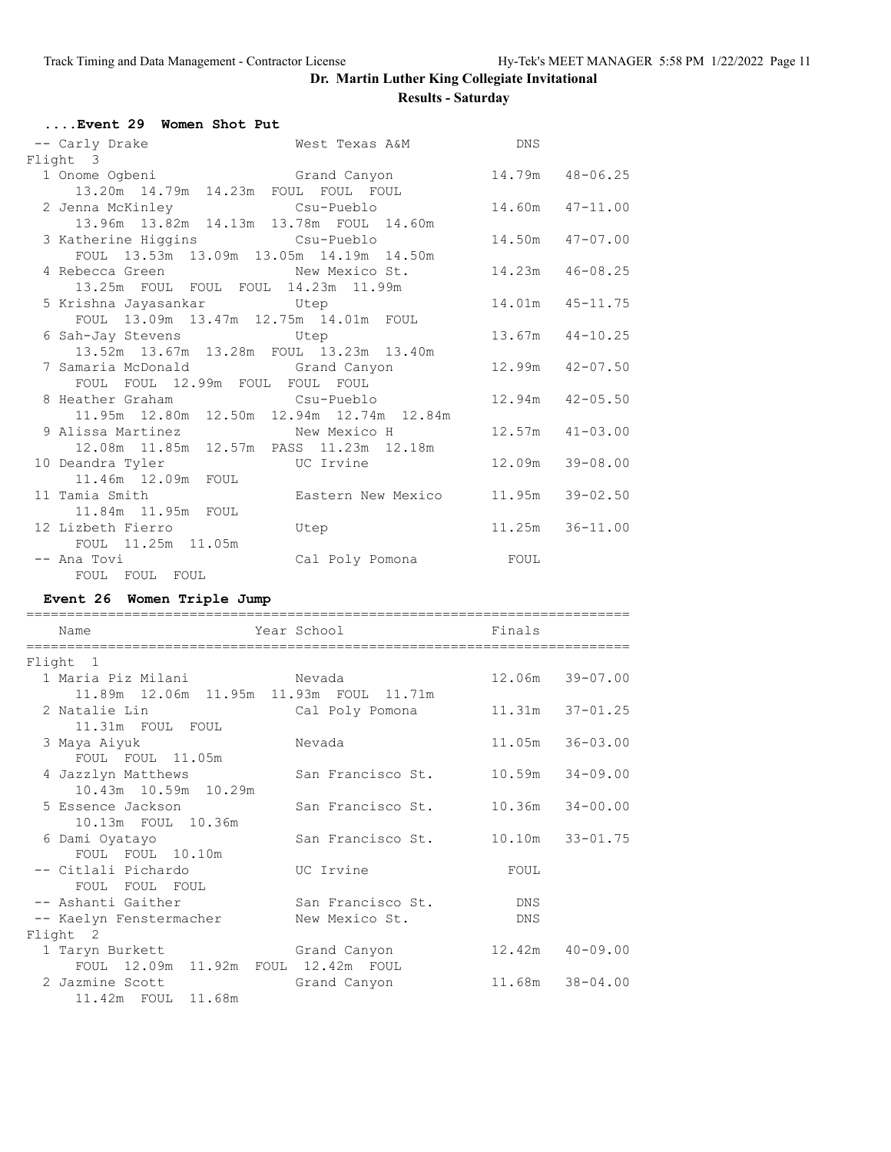| Event 29 Women Shot Put                                                   |                                    |                  |                     |
|---------------------------------------------------------------------------|------------------------------------|------------------|---------------------|
| -- Carly Drake                                                            | West Texas A&M DNS                 |                  |                     |
| Flight 3                                                                  |                                    |                  |                     |
| 1 Onome Ogbeni                                                            | Grand Canyon 14.79m 48-06.25       |                  |                     |
| 13.20m  14.79m  14.23m  FOUL  FOUL  FOUL                                  |                                    |                  |                     |
| 2 Jenna McKinley                           Csu-Pueblo                     |                                    | 14.60m  47-11.00 |                     |
| 13.96m  13.82m  14.13m  13.78m  FOUL  14.60m                              |                                    |                  |                     |
| 3 Katherine Higgins Csu-Pueblo<br>FOUL 13.53m 13.09m 13.05m 14.19m 14.50m |                                    |                  | 14.50m  47-07.00    |
|                                                                           |                                    |                  |                     |
| 4 Rebecca Green New Mexico St.                                            |                                    |                  | 14.23m  46-08.25    |
| 13.25m FOUL FOUL FOUL 14.23m 11.99m                                       |                                    |                  |                     |
| 5 Krishna Jayasankar             Utep                                     |                                    |                  | 14.01m  45-11.75    |
| FOUL 13.09m 13.47m 12.75m 14.01m FOUL                                     |                                    |                  |                     |
| 6 Sah-Jay Stevens 6 Utep                                                  |                                    |                  | 13.67m  44-10.25    |
| 13.52m  13.67m  13.28m  FOUL  13.23m  13.40m                              |                                    |                  |                     |
| 7 Samaria McDonald                 Grand Canyon                           |                                    |                  | $12.99m$ $42-07.50$ |
| FOUL FOUL 12.99m FOUL FOUL FOUL                                           |                                    |                  |                     |
| 8 Heather Graham Csu-Pueblo                                               |                                    |                  | $12.94m$ $42-05.50$ |
| 11.95m  12.80m  12.50m  12.94m  12.74m  12.84m                            |                                    |                  |                     |
| 9 Alissa Martinez             New Mexico H                                |                                    |                  | $12.57m$ $41-03.00$ |
| 12.08m  11.85m  12.57m  PASS  11.23m  12.18m                              |                                    |                  |                     |
| 10 Deandra Tyler UC Irvine<br>11.46m  12.09m  FOUL                        |                                    |                  | 12.09m 39-08.00     |
| 11 Tamia Smith                                                            | Eastern New Mexico 11.95m 39-02.50 |                  |                     |
| 11.84m 11.95m FOUL                                                        |                                    |                  |                     |
| 12 Lizbeth Fierro                                                         | Utep                               |                  | 11.25m 36-11.00     |
| FOUL 11.25m 11.05m                                                        |                                    |                  |                     |
| -- Ana Tovi                                                               |                                    |                  |                     |
| FOUL FOUL FOUL                                                            |                                    |                  |                     |
|                                                                           |                                    |                  |                     |

### **Event 26 Women Triple Jump**

| Name                                         | Year School       | Finals |                     |
|----------------------------------------------|-------------------|--------|---------------------|
| Flight 1                                     |                   |        |                     |
| 1 Maria Piz Milani           Nevada          |                   |        | 12.06m 39-07.00     |
| 11.89m  12.06m  11.95m  11.93m  FOUL  11.71m |                   |        |                     |
| 2 Natalie Lin                                | Cal Poly Pomona   |        | 11.31m 37-01.25     |
| 11.31m FOUL FOUL                             |                   |        |                     |
| 3 Maya Aiyuk                                 | Nevada            | 11.05m | $36 - 03.00$        |
| FOUL FOUL 11.05m                             |                   |        |                     |
| 4 Jazzlyn Matthews                           | San Francisco St. |        | $10.59m$ $34-09.00$ |
| 10.43m 10.59m 10.29m                         |                   |        |                     |
| 5 Essence Jackson                            | San Francisco St. |        | $10.36m$ $34-00.00$ |
| 10.13m FOUL 10.36m                           |                   |        |                     |
| 6 Dami Oyatayo                               | San Francisco St. |        | 10.10m 33-01.75     |
| FOUL FOUL 10.10m                             |                   |        |                     |
| -- Citlali Pichardo                          | UC Irvine         | FOUL   |                     |
| FOUL FOUL FOUL                               |                   |        |                     |
| -- Ashanti Gaither                           | San Francisco St. | DNS    |                     |
| -- Kaelyn Fenstermacher                      | New Mexico St.    | DNS    |                     |
| Flight 2                                     |                   |        |                     |
| 1 Taryn Burkett                              | Grand Canyon      |        | $12.42m$ $40-09.00$ |
| FOUL 12.09m 11.92m FOUL 12.42m FOUL          |                   |        |                     |
| 2 Jazmine Scott                              | Grand Canyon      |        | 11.68m 38-04.00     |
| 11.42m FOUL 11.68m                           |                   |        |                     |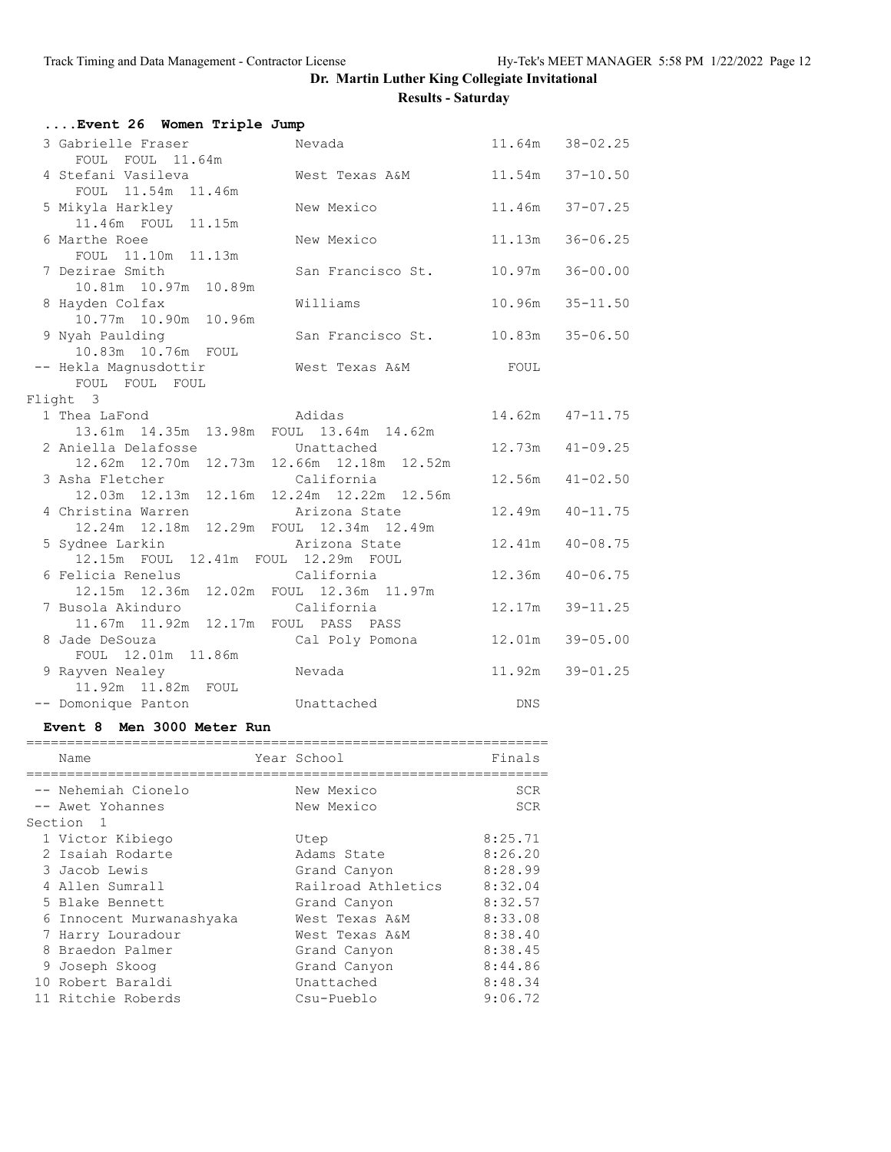|                       | Nevada                                                                                                                                                                                                                                                                                                                                                                                                                                                                                                                          |                                                                                                                                                                                                                                                                                                                                                                                                                                                                                   | 11.64m 38-02.25                                                                                                                                                                                                                                                                 |
|-----------------------|---------------------------------------------------------------------------------------------------------------------------------------------------------------------------------------------------------------------------------------------------------------------------------------------------------------------------------------------------------------------------------------------------------------------------------------------------------------------------------------------------------------------------------|-----------------------------------------------------------------------------------------------------------------------------------------------------------------------------------------------------------------------------------------------------------------------------------------------------------------------------------------------------------------------------------------------------------------------------------------------------------------------------------|---------------------------------------------------------------------------------------------------------------------------------------------------------------------------------------------------------------------------------------------------------------------------------|
| FOUL FOUL 11.64m      |                                                                                                                                                                                                                                                                                                                                                                                                                                                                                                                                 |                                                                                                                                                                                                                                                                                                                                                                                                                                                                                   |                                                                                                                                                                                                                                                                                 |
|                       |                                                                                                                                                                                                                                                                                                                                                                                                                                                                                                                                 |                                                                                                                                                                                                                                                                                                                                                                                                                                                                                   | 11.54m 37-10.50                                                                                                                                                                                                                                                                 |
| FOUL 11.54m<br>11.46m |                                                                                                                                                                                                                                                                                                                                                                                                                                                                                                                                 |                                                                                                                                                                                                                                                                                                                                                                                                                                                                                   |                                                                                                                                                                                                                                                                                 |
|                       | New Mexico                                                                                                                                                                                                                                                                                                                                                                                                                                                                                                                      |                                                                                                                                                                                                                                                                                                                                                                                                                                                                                   | 11.46m 37-07.25                                                                                                                                                                                                                                                                 |
|                       |                                                                                                                                                                                                                                                                                                                                                                                                                                                                                                                                 |                                                                                                                                                                                                                                                                                                                                                                                                                                                                                   |                                                                                                                                                                                                                                                                                 |
|                       |                                                                                                                                                                                                                                                                                                                                                                                                                                                                                                                                 |                                                                                                                                                                                                                                                                                                                                                                                                                                                                                   | $36 - 06.25$                                                                                                                                                                                                                                                                    |
|                       |                                                                                                                                                                                                                                                                                                                                                                                                                                                                                                                                 |                                                                                                                                                                                                                                                                                                                                                                                                                                                                                   |                                                                                                                                                                                                                                                                                 |
|                       |                                                                                                                                                                                                                                                                                                                                                                                                                                                                                                                                 |                                                                                                                                                                                                                                                                                                                                                                                                                                                                                   |                                                                                                                                                                                                                                                                                 |
|                       |                                                                                                                                                                                                                                                                                                                                                                                                                                                                                                                                 |                                                                                                                                                                                                                                                                                                                                                                                                                                                                                   |                                                                                                                                                                                                                                                                                 |
|                       |                                                                                                                                                                                                                                                                                                                                                                                                                                                                                                                                 |                                                                                                                                                                                                                                                                                                                                                                                                                                                                                   |                                                                                                                                                                                                                                                                                 |
|                       |                                                                                                                                                                                                                                                                                                                                                                                                                                                                                                                                 |                                                                                                                                                                                                                                                                                                                                                                                                                                                                                   |                                                                                                                                                                                                                                                                                 |
|                       |                                                                                                                                                                                                                                                                                                                                                                                                                                                                                                                                 |                                                                                                                                                                                                                                                                                                                                                                                                                                                                                   |                                                                                                                                                                                                                                                                                 |
|                       |                                                                                                                                                                                                                                                                                                                                                                                                                                                                                                                                 |                                                                                                                                                                                                                                                                                                                                                                                                                                                                                   |                                                                                                                                                                                                                                                                                 |
|                       |                                                                                                                                                                                                                                                                                                                                                                                                                                                                                                                                 |                                                                                                                                                                                                                                                                                                                                                                                                                                                                                   |                                                                                                                                                                                                                                                                                 |
|                       |                                                                                                                                                                                                                                                                                                                                                                                                                                                                                                                                 |                                                                                                                                                                                                                                                                                                                                                                                                                                                                                   |                                                                                                                                                                                                                                                                                 |
|                       |                                                                                                                                                                                                                                                                                                                                                                                                                                                                                                                                 |                                                                                                                                                                                                                                                                                                                                                                                                                                                                                   | 14.62m  47-11.75                                                                                                                                                                                                                                                                |
|                       |                                                                                                                                                                                                                                                                                                                                                                                                                                                                                                                                 |                                                                                                                                                                                                                                                                                                                                                                                                                                                                                   |                                                                                                                                                                                                                                                                                 |
|                       | Unattached                                                                                                                                                                                                                                                                                                                                                                                                                                                                                                                      |                                                                                                                                                                                                                                                                                                                                                                                                                                                                                   | $12.73m$ $41-09.25$                                                                                                                                                                                                                                                             |
|                       |                                                                                                                                                                                                                                                                                                                                                                                                                                                                                                                                 |                                                                                                                                                                                                                                                                                                                                                                                                                                                                                   |                                                                                                                                                                                                                                                                                 |
|                       | California                                                                                                                                                                                                                                                                                                                                                                                                                                                                                                                      |                                                                                                                                                                                                                                                                                                                                                                                                                                                                                   | $12.56m$ $41-02.50$                                                                                                                                                                                                                                                             |
|                       |                                                                                                                                                                                                                                                                                                                                                                                                                                                                                                                                 |                                                                                                                                                                                                                                                                                                                                                                                                                                                                                   |                                                                                                                                                                                                                                                                                 |
|                       |                                                                                                                                                                                                                                                                                                                                                                                                                                                                                                                                 |                                                                                                                                                                                                                                                                                                                                                                                                                                                                                   |                                                                                                                                                                                                                                                                                 |
|                       |                                                                                                                                                                                                                                                                                                                                                                                                                                                                                                                                 |                                                                                                                                                                                                                                                                                                                                                                                                                                                                                   |                                                                                                                                                                                                                                                                                 |
|                       |                                                                                                                                                                                                                                                                                                                                                                                                                                                                                                                                 |                                                                                                                                                                                                                                                                                                                                                                                                                                                                                   |                                                                                                                                                                                                                                                                                 |
|                       |                                                                                                                                                                                                                                                                                                                                                                                                                                                                                                                                 |                                                                                                                                                                                                                                                                                                                                                                                                                                                                                   |                                                                                                                                                                                                                                                                                 |
|                       |                                                                                                                                                                                                                                                                                                                                                                                                                                                                                                                                 |                                                                                                                                                                                                                                                                                                                                                                                                                                                                                   |                                                                                                                                                                                                                                                                                 |
|                       |                                                                                                                                                                                                                                                                                                                                                                                                                                                                                                                                 |                                                                                                                                                                                                                                                                                                                                                                                                                                                                                   |                                                                                                                                                                                                                                                                                 |
|                       |                                                                                                                                                                                                                                                                                                                                                                                                                                                                                                                                 |                                                                                                                                                                                                                                                                                                                                                                                                                                                                                   |                                                                                                                                                                                                                                                                                 |
|                       |                                                                                                                                                                                                                                                                                                                                                                                                                                                                                                                                 |                                                                                                                                                                                                                                                                                                                                                                                                                                                                                   |                                                                                                                                                                                                                                                                                 |
| FOUL 12.01m 11.86m    |                                                                                                                                                                                                                                                                                                                                                                                                                                                                                                                                 |                                                                                                                                                                                                                                                                                                                                                                                                                                                                                   |                                                                                                                                                                                                                                                                                 |
|                       | Nevada                                                                                                                                                                                                                                                                                                                                                                                                                                                                                                                          |                                                                                                                                                                                                                                                                                                                                                                                                                                                                                   | 11.92m 39-01.25                                                                                                                                                                                                                                                                 |
| 11.92m  11.82m  FOUL  |                                                                                                                                                                                                                                                                                                                                                                                                                                                                                                                                 |                                                                                                                                                                                                                                                                                                                                                                                                                                                                                   |                                                                                                                                                                                                                                                                                 |
|                       |                                                                                                                                                                                                                                                                                                                                                                                                                                                                                                                                 | <b>DNS</b>                                                                                                                                                                                                                                                                                                                                                                                                                                                                        |                                                                                                                                                                                                                                                                                 |
|                       | 3 Gabrielle Fraser<br>4 Stefani Vasileva<br>5 Mikyla Harkley<br>11.46m FOUL 11.15m<br>6 Marthe Roee<br>FOUL 11.10m 11.13m<br>7 Dezirae Smith<br>10.81m  10.97m  10.89m<br>8 Hayden Colfax<br>10.77m  10.90m  10.96m<br>9 Nyah Paulding<br>10.83m  10.76m  FOUL<br>-- Hekla Magnusdottir<br>FOUL FOUL FOUL<br>Flight 3<br>1 Thea LaFond<br>2 Aniella Delafosse<br>3 Asha Fletcher<br>4 Christina Warren<br>5 Sydnee Larkin<br>6 Felicia Renelus<br>7 Busola Akinduro<br>8 Jade DeSouza<br>9 Rayven Nealey<br>-- Domonique Panton | Event 26 Women Triple Jump<br>New Mexico<br>Williams<br>Adidas<br>13.61m  14.35m  13.98m  FOUL  13.64m  14.62m<br>12.62m  12.70m  12.73m  12.66m  12.18m  12.52m<br>12.03m  12.13m  12.16m  12.24m  12.22m  12.56m<br>Arizona State<br>12.24m  12.18m  12.29m  FOUL  12.34m  12.49m<br>Arizona State<br>12.15m FOUL 12.41m FOUL 12.29m FOUL<br>California<br>12.15m  12.36m  12.02m  FOUL  12.36m  11.97m<br>California<br>11.67m  11.92m  12.17m  FOUL  PASS  PASS<br>Unattached | West Texas A&M<br>11.13m<br>10.97m 36-00.00<br>San Francisco St.<br>$10.96m$ $35-11.50$<br>$10.83m$ $35-06.50$<br>San Francisco St.<br>West Texas A&M FOUL<br>12.49m  40-11.75<br>12.41m  40-08.75<br>12.36m  40-06.75<br>12.17m 39-11.25<br>12.01m 39-05.00<br>Cal Poly Pomona |

#### **Event 8 Men 3000 Meter Run**

| Name                   |                    | Finals      |
|------------------------|--------------------|-------------|
| -- Nehemiah Cionelo    | New Mexico         | <b>SCR</b>  |
| -- Awet Yohannes       | New Mexico         | <b>SCR</b>  |
| Section 1              |                    |             |
| 1 Victor Kibiego       | Utep               | 8:25.71     |
| 2 Isaiah Rodarte       | Adams State        | 8:26.20     |
| 3 Jacob Lewis          | Grand Canyon       | 8:28.99     |
| 4 Allen Sumrall        | Railroad Athletics | 8:32.04     |
| 5 Blake Bennett        | Grand Canyon       | 8:32.57     |
| Innocent Murwanashyaka | West Texas A&M     | 8:33.08     |
| 7 Harry Louradour      | West Texas A&M     | 8:38.40     |
| 8 Braedon Palmer       | Grand Canyon       | 8:38.45     |
| 9 Joseph Skoog         | Grand Canyon       | 8:44.86     |
| 10 Robert Baraldi      | Unattached         | 8:48.34     |
| 11 Ritchie Roberds     | Csu-Pueblo         | 9:06.72     |
|                        |                    | Year School |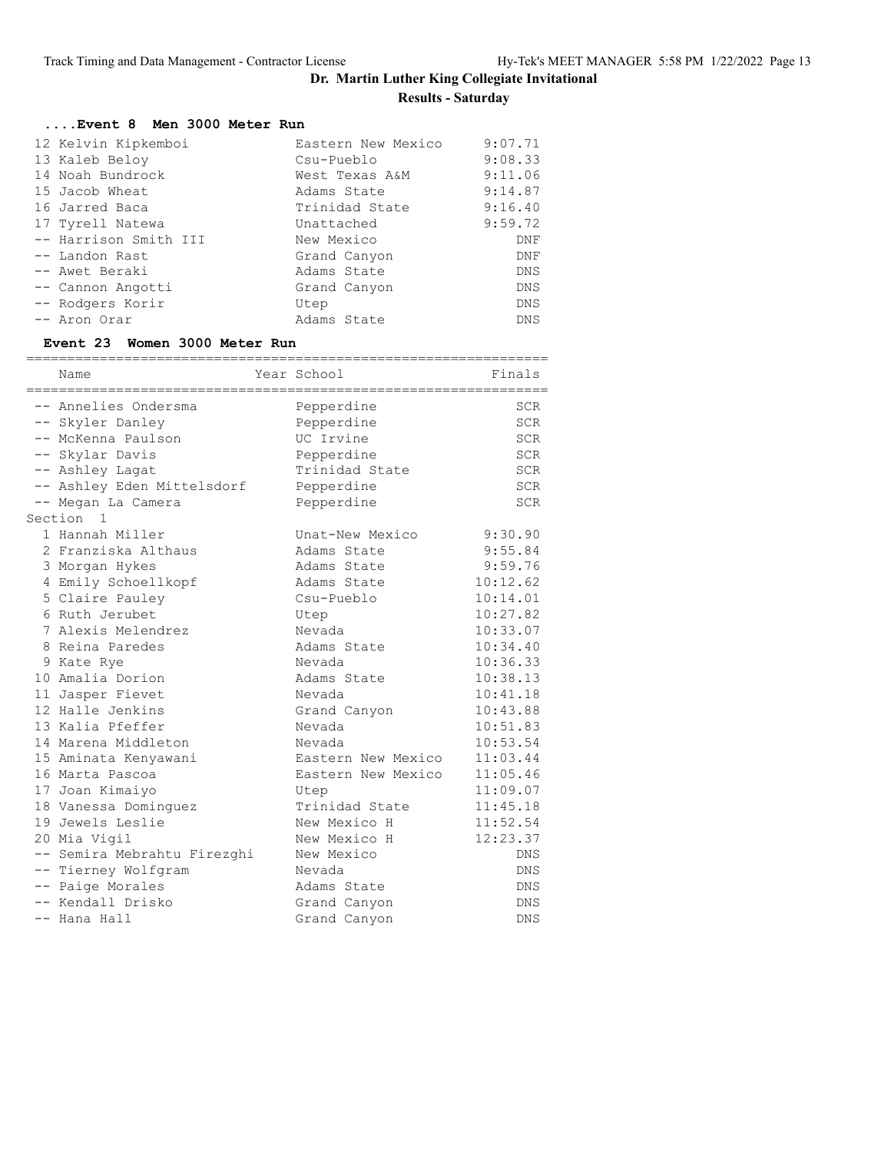### **....Event 8 Men 3000 Meter Run**

| 12 Kelvin Kipkemboi   | Eastern New Mexico | 9:07.71    |
|-----------------------|--------------------|------------|
| 13 Kaleb Beloy        | Csu-Pueblo         | 9:08.33    |
| 14 Noah Bundrock      | West Texas A&M     | 9:11.06    |
| 15 Jacob Wheat        | Adams State        | 9:14.87    |
| 16 Jarred Baca        | Trinidad State     | 9:16.40    |
| 17 Tyrell Natewa      | Unattached         | 9:59.72    |
| -- Harrison Smith III | New Mexico         | <b>DNF</b> |
| -- Landon Rast        | Grand Canyon       | DNF        |
| -- Awet Beraki        | Adams State        | <b>DNS</b> |
| -- Cannon Angotti     | Grand Canyon       | <b>DNS</b> |
| -- Rodgers Korir      | Utep               | <b>DNS</b> |
| -- Aron Orar          | Adams State        | <b>DNS</b> |

#### **Event 23 Women 3000 Meter Run**

| Name                        | Year School        | Finals     |
|-----------------------------|--------------------|------------|
| -- Annelies Ondersma        | Pepperdine         | SCR        |
| -- Skyler Danley            | Pepperdine         | <b>SCR</b> |
| -- McKenna Paulson          | UC Irvine          | <b>SCR</b> |
| -- Skylar Davis             | Pepperdine         | <b>SCR</b> |
| -- Ashley Lagat             | Trinidad State     | <b>SCR</b> |
| -- Ashley Eden Mittelsdorf  | Pepperdine         | <b>SCR</b> |
| -- Megan La Camera          | Pepperdine         | <b>SCR</b> |
| Section 1                   |                    |            |
| 1 Hannah Miller             | Unat-New Mexico    | 9:30.90    |
| 2 Franziska Althaus         | Adams State        | 9:55.84    |
| 3 Morgan Hykes              | Adams State        | 9:59.76    |
| 4 Emily Schoellkopf         | Adams State        | 10:12.62   |
| 5 Claire Pauley             | Csu-Pueblo         | 10:14.01   |
| 6 Ruth Jerubet              | Utep               | 10:27.82   |
| 7 Alexis Melendrez          | Nevada             | 10:33.07   |
| 8 Reina Paredes             | Adams State        | 10:34.40   |
| 9 Kate Rye                  | Nevada             | 10:36.33   |
| 10 Amalia Dorion            | Adams State        | 10:38.13   |
| 11 Jasper Fievet            | Nevada             | 10:41.18   |
| 12 Halle Jenkins            | Grand Canyon       | 10:43.88   |
| 13 Kalia Pfeffer            | Nevada             | 10:51.83   |
| 14 Marena Middleton         | Nevada             | 10:53.54   |
| 15 Aminata Kenyawani        | Eastern New Mexico | 11:03.44   |
| 16 Marta Pascoa             | Eastern New Mexico | 11:05.46   |
| 17 Joan Kimaiyo             | Utep               | 11:09.07   |
| 18 Vanessa Dominguez        | Trinidad State     | 11:45.18   |
| 19 Jewels Leslie            | New Mexico H       | 11:52.54   |
| 20 Mia Vigil                | New Mexico H       | 12:23.37   |
| -- Semira Mebrahtu Firezghi | New Mexico         | <b>DNS</b> |
| -- Tierney Wolfgram         | Nevada             | <b>DNS</b> |
| -- Paige Morales            | Adams State        | DNS        |
| -- Kendall Drisko           | Grand Canyon       | <b>DNS</b> |
| -- Hana Hall                | Grand Canyon       | <b>DNS</b> |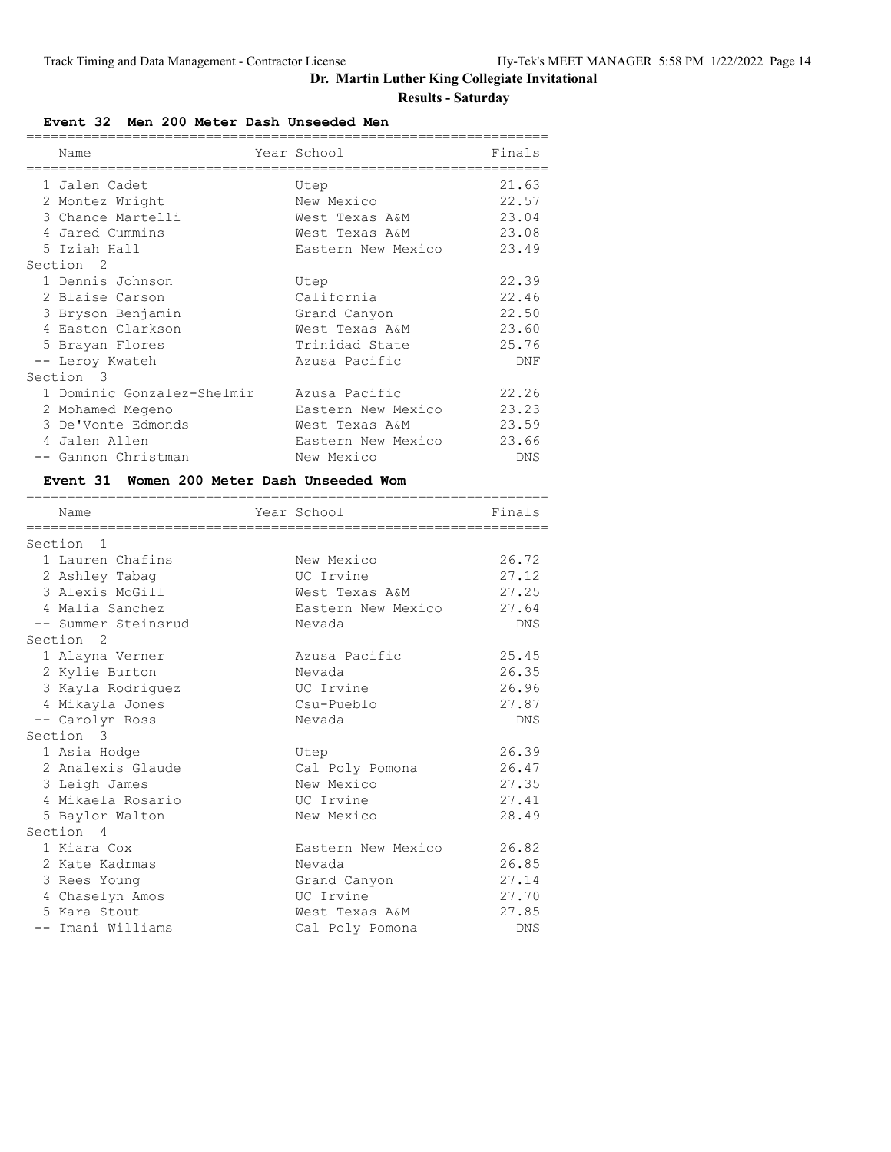# **Dr. Martin Luther King Collegiate Invitational**

### **Results - Saturday**

**Event 32 Men 200 Meter Dash Unseeded Men**

| Name<br>---------                          | Year School        | Finals |
|--------------------------------------------|--------------------|--------|
| 1 Jalen Cadet                              | Utep               | 21.63  |
| 2 Montez Wright                            | New Mexico         | 22.57  |
| 3 Chance Martelli                          | West Texas A&M     | 23.04  |
| 4 Jared Cummins                            | West Texas A&M     | 23.08  |
| 5 Iziah Hall                               | Eastern New Mexico | 23.49  |
| Section 2                                  |                    |        |
| 1 Dennis Johnson                           | Utep               | 22.39  |
| 2 Blaise Carson                            | California         | 22.46  |
| 3 Bryson Benjamin                          | Grand Canyon       | 22.50  |
| 4 Easton Clarkson                          | West Texas A&M     | 23.60  |
| 5 Brayan Flores                            | Trinidad State     | 25.76  |
| -- Leroy Kwateh                            | Azusa Pacific      | DNF    |
| Section 3                                  |                    |        |
| 1 Dominic Gonzalez-Shelmir                 | Azusa Pacific      | 22.26  |
| 2 Mohamed Megeno                           | Eastern New Mexico | 23.23  |
| 3 De'Vonte Edmonds                         | West Texas A&M     | 23.59  |
| 4 Jalen Allen                              | Eastern New Mexico | 23.66  |
| -- Gannon Christman                        | New Mexico         | DNS    |
| Event 31 Women 200 Meter Dash Unseeded Wom |                    |        |
| Name                                       | Year School        | Finals |
|                                            |                    |        |
| Section<br>-1                              |                    |        |
| 1 Lauren Chafins                           | New Mexico         | 26.72  |
| 2 Ashley Tabag                             | UC Irvine          | 27.12  |
| 3 Alexis McGill                            | West Texas A&M     | 27.25  |
| 4 Malia Sanchez                            | Eastern New Mexico | 27.64  |
| -- Summer Steinsrud                        | Nevada             | DNS    |
| Section 2                                  |                    |        |
| 1 Alayna Verner                            | Azusa Pacific      | 25.45  |
| 2 Kylie Burton                             | Nevada             | 26.35  |
| 3 Kayla Rodriguez                          | UC Irvine          | 26.96  |
| 4 Mikayla Jones                            | Csu-Pueblo         | 27.87  |
| -- Carolyn Ross                            | Nevada             | DNS    |
| Section 3                                  |                    |        |
| 1 Asia Hodge                               | Utep               | 26.39  |
| 2 Analexis Glaude                          | Cal Poly Pomona    | 26.47  |
| 3 Leigh James                              | New Mexico         | 27.35  |
| 4 Mikaela Rosario                          | UC Irvine          | 27.41  |
| 5 Baylor Walton                            | New Mexico         | 28.49  |
| Section 4                                  |                    |        |
| 1 Kiara Cox                                | Eastern New Mexico | 26.82  |
| 2 Kate Kadrmas                             | Nevada             | 26.85  |
| 3 Rees Young                               | Grand Canyon       | 27.14  |
| 4 Chaselyn Amos                            | UC Irvine          | 27.70  |
| 5 Kara Stout                               | West Texas A&M     | 27.85  |
| -- Imani Williams                          | Cal Poly Pomona    | DNS    |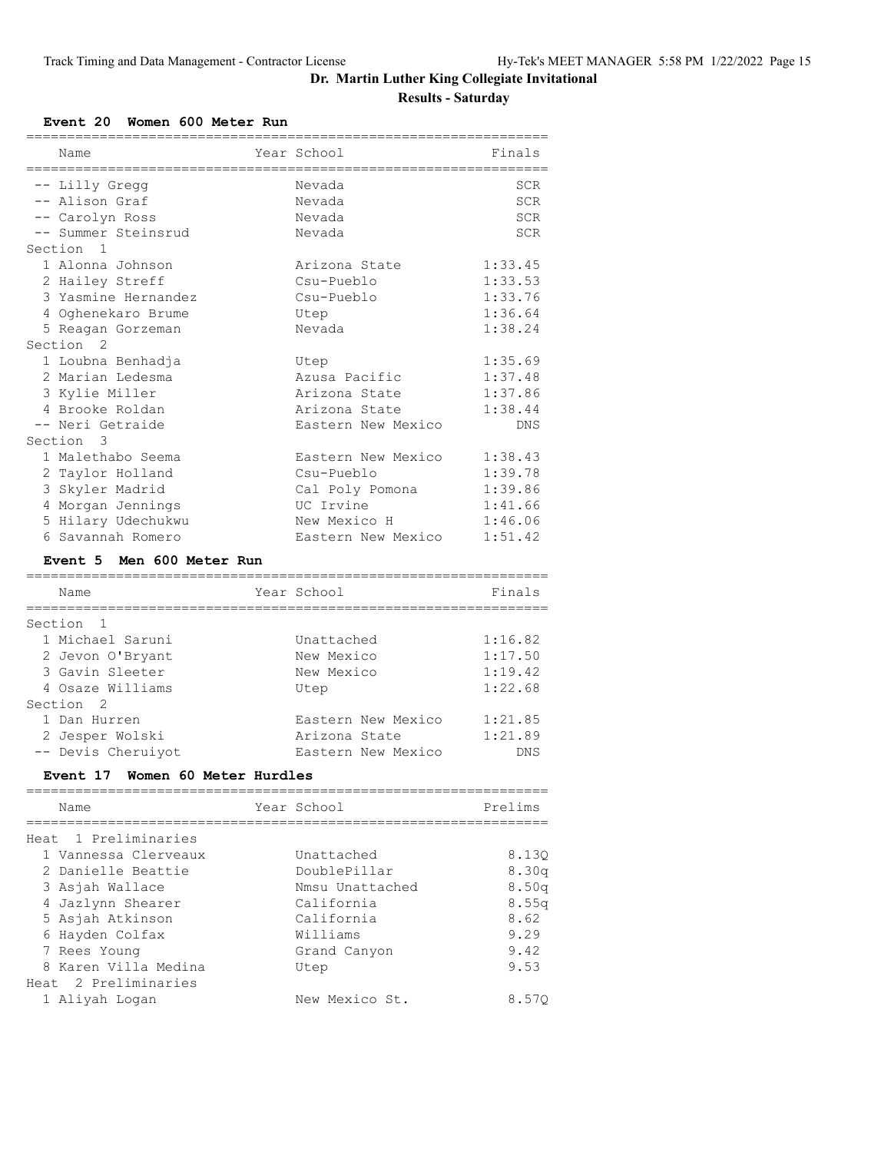#### **Event 20 Women 600 Meter Run**

Heat 2 Preliminaries

| Name                                       | Year School              | Finals         |
|--------------------------------------------|--------------------------|----------------|
|                                            |                          |                |
| -- Lilly Gregg                             | Nevada                   | SCR            |
| -- Alison Graf                             | Nevada                   | <b>SCR</b>     |
| -- Carolyn Ross                            | Nevada                   | <b>SCR</b>     |
| -- Summer Steinsrud                        | Nevada                   | <b>SCR</b>     |
| Section<br>$\mathbf{1}$                    |                          |                |
| 1 Alonna Johnson                           | Arizona State            | 1:33.45        |
| 2 Hailey Streff                            | Csu-Pueblo               | 1:33.53        |
| 3 Yasmine Hernandez                        | Csu-Pueblo               | 1:33.76        |
| 4 Oghenekaro Brume                         | Utep                     | 1:36.64        |
| 5 Reagan Gorzeman                          | Nevada                   | 1:38.24        |
| Section<br>$\mathcal{L}$                   |                          |                |
| 1 Loubna Benhadja                          | Utep                     | 1:35.69        |
| 2 Marian Ledesma                           | Azusa Pacific            | 1:37.48        |
| 3 Kylie Miller                             | Arizona State            | 1:37.86        |
| 4 Brooke Roldan                            | Arizona State            | 1:38.44        |
| -- Neri Getraide                           | Eastern New Mexico       | DNS            |
| Section<br>$\mathcal{R}$                   |                          |                |
| 1 Malethabo Seema                          | Eastern New Mexico       | 1:38.43        |
| 2 Taylor Holland                           | Csu-Pueblo               | 1:39.78        |
| 3 Skyler Madrid                            | Cal Poly Pomona          | 1:39.86        |
| 4 Morgan Jennings                          | UC Irvine                | 1:41.66        |
| 5 Hilary Udechukwu                         | New Mexico H             | 1:46.06        |
| 6 Savannah Romero                          | Eastern New Mexico       | 1:51.42        |
| Event 5 Men 600 Meter Run                  |                          |                |
| Name                                       | Year School              | Finals         |
| ==========                                 |                          |                |
| Section<br>1                               |                          |                |
| 1 Michael Saruni                           | Unattached               | 1:16.82        |
| 2 Jevon O'Bryant                           | New Mexico               | 1:17.50        |
| 3 Gavin Sleeter                            | New Mexico               | 1:19.42        |
| 4 Osaze Williams                           | Utep                     | 1:22.68        |
| Section<br>2                               |                          |                |
| 1 Dan Hurren                               | Eastern New Mexico       | 1:21.85        |
| 2 Jesper Wolski                            | Arizona State            | 1:21.89        |
| -- Devis Cheruiyot                         | Eastern New Mexico       | <b>DNS</b>     |
| Event 17 Women 60 Meter Hurdles            |                          |                |
| Name                                       | Year School              | Prelims        |
| Heat 1 Preliminaries                       |                          |                |
|                                            | Unattached               |                |
| 1 Vannessa Clerveaux<br>2 Danielle Beattie | DoublePillar             | 8.130<br>8.30q |
| 3 Asjah Wallace                            | Nmsu Unattached          |                |
|                                            | California               | 8.50q          |
| 4 Jazlynn Shearer<br>5 Asjah Atkinson      | California               | 8.55q          |
|                                            |                          | 8.62<br>9.29   |
| 6 Hayden Colfax<br>7 Rees Young            | Williams<br>Grand Canyon | 9.42           |
|                                            | Utep                     | 9.53           |
| 8 Karen Villa Medina                       |                          |                |

1 Aliyah Logan New Mexico St. 8.57Q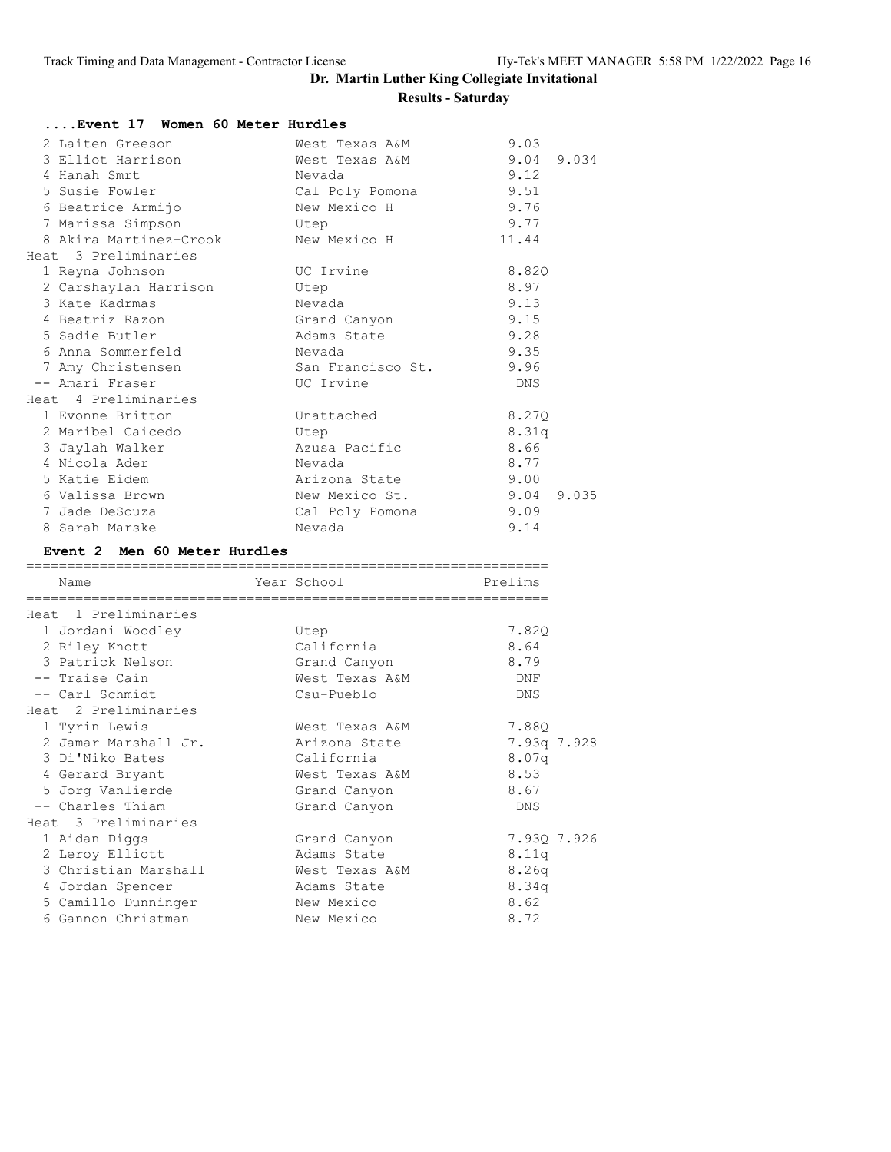| Event 17 Women 60 Meter Hurdles |                           |       |
|---------------------------------|---------------------------|-------|
| 2 Laiten Greeson                | West Texas A&M            | 9.03  |
| 3 Elliot Harrison               | West Texas A&M 9.04 9.034 |       |
| 4 Hanah Smrt                    | Nevada                    | 9.12  |
| 5 Susie Fowler                  | Cal Poly Pomona 9.51      |       |
| 6 Beatrice Armijo               | New Mexico H              | 9.76  |
| 7 Marissa Simpson               | Utep                      | 9.77  |
| 8 Akira Martinez-Crook          | New Mexico H              | 11.44 |
| Heat 3 Preliminaries            |                           |       |
| 1 Reyna Johnson                 | UC Irvine                 | 8.820 |
| 2 Carshaylah Harrison           | Utep                      | 8.97  |
| 3 Kate Kadrmas                  | Nevada                    | 9.13  |
| 4 Beatriz Razon                 | Grand Canyon              | 9.15  |
| 5 Sadie Butler                  | Adams State               | 9.28  |
| 6 Anna Sommerfeld               | Nevada                    | 9.35  |
| 7 Amy Christensen               | San Francisco St. 9.96    |       |
| -- Amari Fraser                 | UC Irvine                 | DNS   |
| Heat 4 Preliminaries            |                           |       |
| 1 Evonne Britton                | Unattached                | 8.270 |
| 2 Maribel Caicedo               | Utep                      | 8.31q |
| 3 Jaylah Walker                 | Azusa Pacific             | 8.66  |
| 4 Nicola Ader                   | Nevada                    | 8.77  |
| 5 Katie Eidem                   | Arizona State             | 9.00  |
| 6 Valissa Brown                 | New Mexico St. 9.04 9.035 |       |
| 7 Jade DeSouza                  | Cal Poly Pomona           | 9.09  |
| 8 Sarah Marske                  | Nevada                    | 9.14  |
| Event 2 Men 60 Meter Hurdles    |                           |       |
| Neme Veen Cobeel Dualime        |                           |       |

| Name                 | Year School    | Prelims     |
|----------------------|----------------|-------------|
| Heat 1 Preliminaries |                |             |
| 1 Jordani Woodley    | Utep           | 7.82Q       |
| 2 Riley Knott        | California     | 8.64        |
| 3 Patrick Nelson     | Grand Canyon   | 8.79        |
| -- Traise Cain       | West Texas A&M | DNF         |
| -- Carl Schmidt      | Csu-Pueblo     | DNS         |
| Heat 2 Preliminaries |                |             |
| 1 Tyrin Lewis        | West Texas A&M | 7.880       |
| 2 Jamar Marshall Jr. | Arizona State  | 7.93q 7.928 |
| 3 Di'Niko Bates      | California     | 8.07q       |
| 4 Gerard Bryant      | West Texas A&M | 8.53        |
| 5 Jorg Vanlierde     | Grand Canyon   | 8.67        |
| -- Charles Thiam     | Grand Canyon   | <b>DNS</b>  |
| Heat 3 Preliminaries |                |             |
| 1 Aidan Diggs        | Grand Canyon   | 7.930 7.926 |
| 2 Leroy Elliott      | Adams State    | 8.11q       |
| 3 Christian Marshall | West Texas A&M | 8.26q       |
| 4 Jordan Spencer     | Adams State    | 8.34q       |
| 5 Camillo Dunninger  | New Mexico     | 8.62        |
| 6 Gannon Christman   | New Mexico     | 8.72        |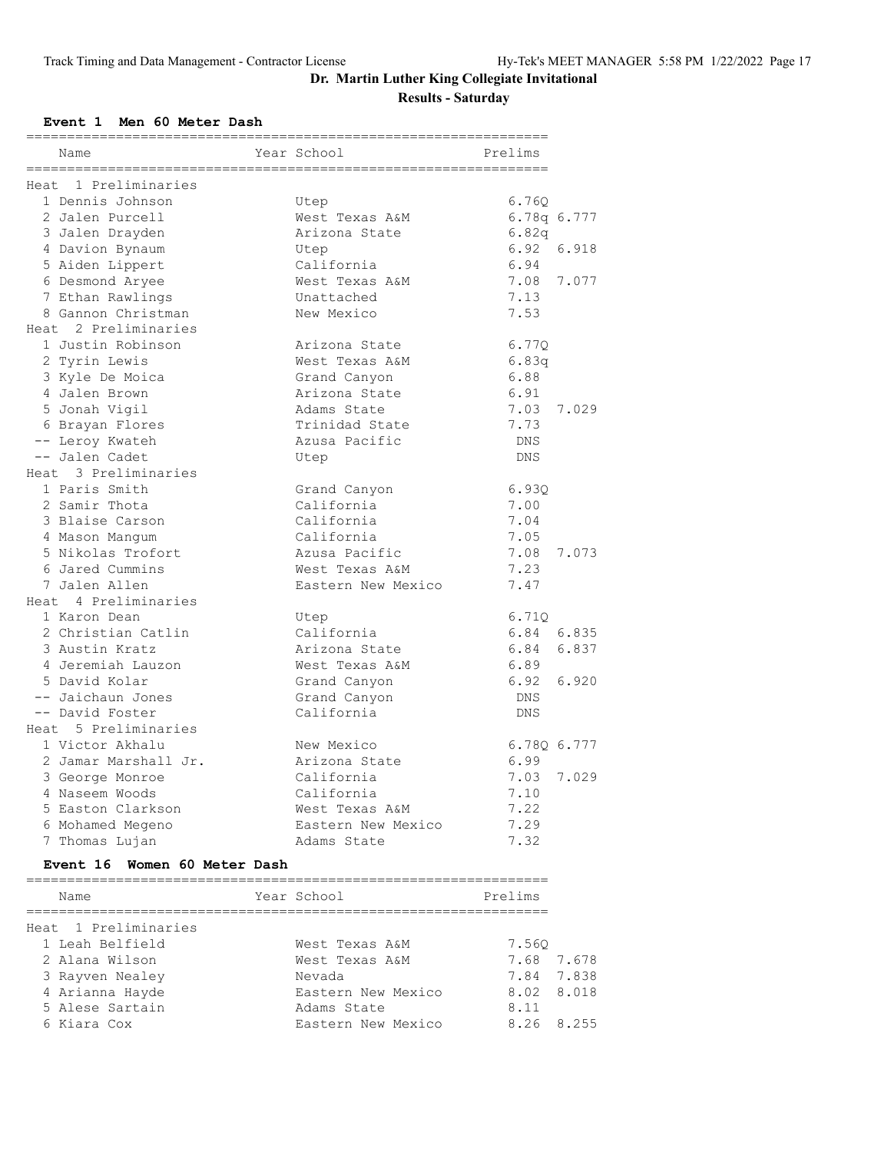#### **Event 1 Men 60 Meter Dash**

| Name                 | =====================================<br>Year School | Prelims     |
|----------------------|------------------------------------------------------|-------------|
| Heat 1 Preliminaries |                                                      |             |
| 1 Dennis Johnson     | Utep                                                 | 6.760       |
| 2 Jalen Purcell      | West Texas A&M                                       | 6.78q 6.777 |
| 3 Jalen Drayden      | Arizona State                                        | 6.82q       |
| 4 Davion Bynaum      | Utep                                                 | 6.92        |
| 5 Aiden Lippert      | California                                           | 6.94        |
| 6 Desmond Aryee      | West Texas A&M                                       | 7.08        |
| 7 Ethan Rawlings     | Unattached                                           | 7.13        |
| 8 Gannon Christman   | New Mexico                                           | 7.53        |
| Heat 2 Preliminaries |                                                      |             |
| 1 Justin Robinson    | Arizona State                                        | 6.770       |
| 2 Tyrin Lewis        | West Texas A&M                                       | 6.83q       |
| 3 Kyle De Moica      | Grand Canyon                                         | 6.88        |
| 4 Jalen Brown        | Arizona State                                        | 6.91        |
| 5 Jonah Vigil        | Adams State                                          | 7.03        |
| 6 Brayan Flores      | Trinidad State                                       | 7.73        |
| -- Leroy Kwateh      | Azusa Pacific                                        | DNS         |
| -- Jalen Cadet       | Utep                                                 | <b>DNS</b>  |
| Heat 3 Preliminaries |                                                      |             |
| 1 Paris Smith        | Grand Canyon                                         | 6.930       |
| 2 Samir Thota        | California                                           | 7.00        |
| 3 Blaise Carson      | California                                           | 7.04        |
| 4 Mason Manqum       | California                                           | 7.05        |
| 5 Nikolas Trofort    | Azusa Pacific                                        | 7.08        |
| 6 Jared Cummins      | West Texas A&M                                       | 7.23        |
| 7 Jalen Allen        | Eastern New Mexico                                   | 7.47        |
| Heat 4 Preliminaries |                                                      |             |
| 1 Karon Dean         | Utep                                                 | 6.71Q       |
| 2 Christian Catlin   | California                                           | 6.84 6.835  |
| 3 Austin Kratz       | Arizona State                                        | 6.84        |
| 4 Jeremiah Lauzon    | West Texas A&M                                       | 6.89        |
| 5 David Kolar        | Grand Canyon                                         | 6.92        |
| -- Jaichaun Jones    | Grand Canyon                                         | DNS         |
| -- David Foster      | California                                           | DNS         |
| Heat 5 Preliminaries |                                                      |             |
| 1 Victor Akhalu      | New Mexico                                           | 6.780 6.777 |
| 2 Jamar Marshall Jr. | Arizona State                                        | 6.99        |
| 3 George Monroe      | California                                           | 7.03        |
| 4 Naseem Woods       | California                                           | 7.10        |
| 5 Easton Clarkson    | West Texas A&M                                       | 7.22        |
| 6 Mohamed Megeno     | Eastern New Mexico                                   | 7.29        |
| 7 Thomas Lujan       | Adams State                                          | 7.32        |

#### **Event 16 Women 60 Meter Dash**

| Name                 | Year School        | Prelims       |
|----------------------|--------------------|---------------|
|                      |                    |               |
| Heat 1 Preliminaries |                    |               |
| 1 Leah Belfield      | West Texas A&M     | 7.560         |
| 2 Alana Wilson       | West Texas A&M     | 7.68 7.678    |
| 3 Rayven Nealey      | Nevada             | 7.84 7.838    |
| 4 Arianna Hayde      | Eastern New Mexico | 8.02 8.018    |
| 5 Alese Sartain      | Adams State        | 8.11          |
| 6 Kiara Cox          | Eastern New Mexico | 8.255<br>8.26 |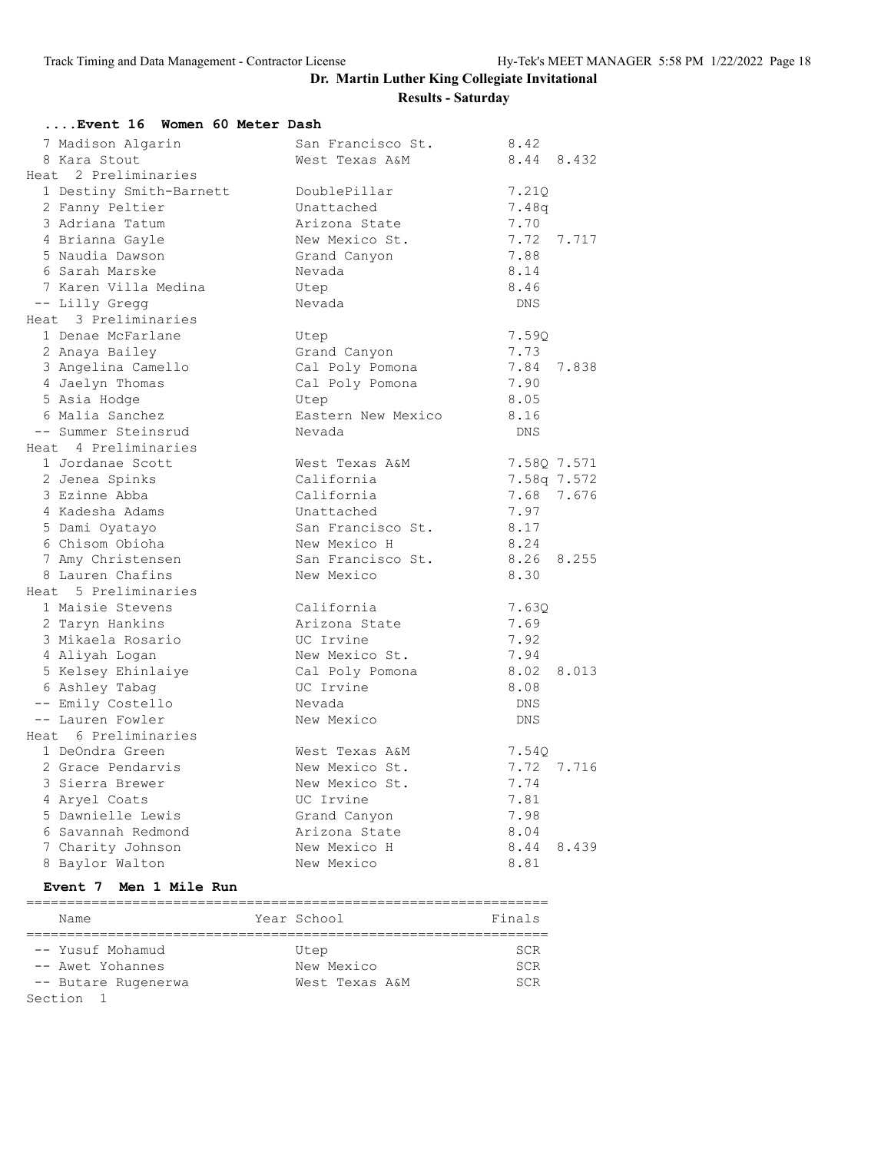| Event 16 Women 60 Meter Dash             |                               |                       |
|------------------------------------------|-------------------------------|-----------------------|
| 7 Madison Algarin                        | San Francisco St.             | 8.42                  |
| 8 Kara Stout                             | West Texas A&M                | 8.44 8.432            |
| Heat 2 Preliminaries                     |                               |                       |
| 1 Destiny Smith-Barnett                  | DoublePillar                  | 7.21Q                 |
| 2 Fanny Peltier                          | Unattached                    | 7.48q                 |
| 3 Adriana Tatum                          | Arizona State                 | 7.70                  |
| 4 Brianna Gayle                          | New Mexico St.                | 7.72<br>7.717         |
| 5 Naudia Dawson                          | Grand Canyon                  | 7.88                  |
| 6 Sarah Marske                           | Nevada                        | 8.14                  |
| 7 Karen Villa Medina                     | Utep                          | 8.46                  |
| -- Lilly Gregg                           | Nevada                        | DNS                   |
| Heat 3 Preliminaries                     |                               |                       |
| 1 Denae McFarlane                        | Utep                          | 7.59Q                 |
| 2 Anaya Bailey                           | Grand Canyon                  | 7.73                  |
| 3 Angelina Camello                       | Cal Poly Pomona               | 7.84<br>7.838         |
| 4 Jaelyn Thomas                          | Cal Poly Pomona               | 7.90                  |
| 5 Asia Hodge                             | Utep                          | 8.05                  |
| 6 Malia Sanchez                          | Eastern New Mexico            | 8.16                  |
| -- Summer Steinsrud                      | Nevada                        | <b>DNS</b>            |
| Heat 4 Preliminaries                     |                               |                       |
| 1 Jordanae Scott                         | West Texas A&M                | 7.58Q 7.571           |
| 2 Jenea Spinks                           | California                    | 7.58q 7.572           |
| 3 Ezinne Abba                            | California                    | 7.68<br>7.676         |
| 4 Kadesha Adams                          | Unattached                    | 7.97                  |
| 5 Dami Oyatayo                           | San Francisco St.             | 8.17                  |
| 6 Chisom Obioha                          | New Mexico H                  | 8.24                  |
| 7 Amy Christensen                        | San Francisco St.             | 8.26<br>8.255         |
| 8 Lauren Chafins                         | New Mexico                    | 8.30                  |
| Heat 5 Preliminaries                     |                               |                       |
| 1 Maisie Stevens                         | California                    | 7.630                 |
| 2 Taryn Hankins                          | Arizona State                 | 7.69                  |
| 3 Mikaela Rosario                        | UC Irvine                     | 7.92                  |
| 4 Aliyah Logan                           | New Mexico St.                | 7.94                  |
| 5 Kelsey Ehinlaiye                       | Cal Poly Pomona               | 8.02<br>8.013         |
| 6 Ashley Tabag                           | UC Irvine                     | 8.08                  |
| -- Emily Costello                        | Nevada<br>New Mexico          | DNS                   |
| -- Lauren Fowler<br>Heat 6 Preliminaries |                               | <b>DNS</b>            |
| 1 DeOndra Green                          | West Texas A&M                | 7.54Q                 |
| 2 Grace Pendarvis                        | New Mexico St.                |                       |
| 3 Sierra Brewer                          | New Mexico St.                | 7.72<br>7.716<br>7.74 |
|                                          | UC Irvine                     | 7.81                  |
| 4 Aryel Coats<br>5 Dawnielle Lewis       |                               | 7.98                  |
| 6 Savannah Redmond                       | Grand Canyon<br>Arizona State | 8.04                  |
| 7 Charity Johnson                        | New Mexico H                  | 8.44<br>8.439         |
| 8 Baylor Walton                          | New Mexico                    | 8.81                  |
|                                          |                               |                       |

#### **Event 7 Men 1 Mile Run**

| Name                | Year School    | Finals     |
|---------------------|----------------|------------|
|                     |                |            |
| -- Yusuf Mohamud    | Utep           | <b>SCR</b> |
| -- Awet Yohannes    | New Mexico     | <b>SCR</b> |
| -- Butare Rugenerwa | West Texas A&M | <b>SCR</b> |
| Section             |                |            |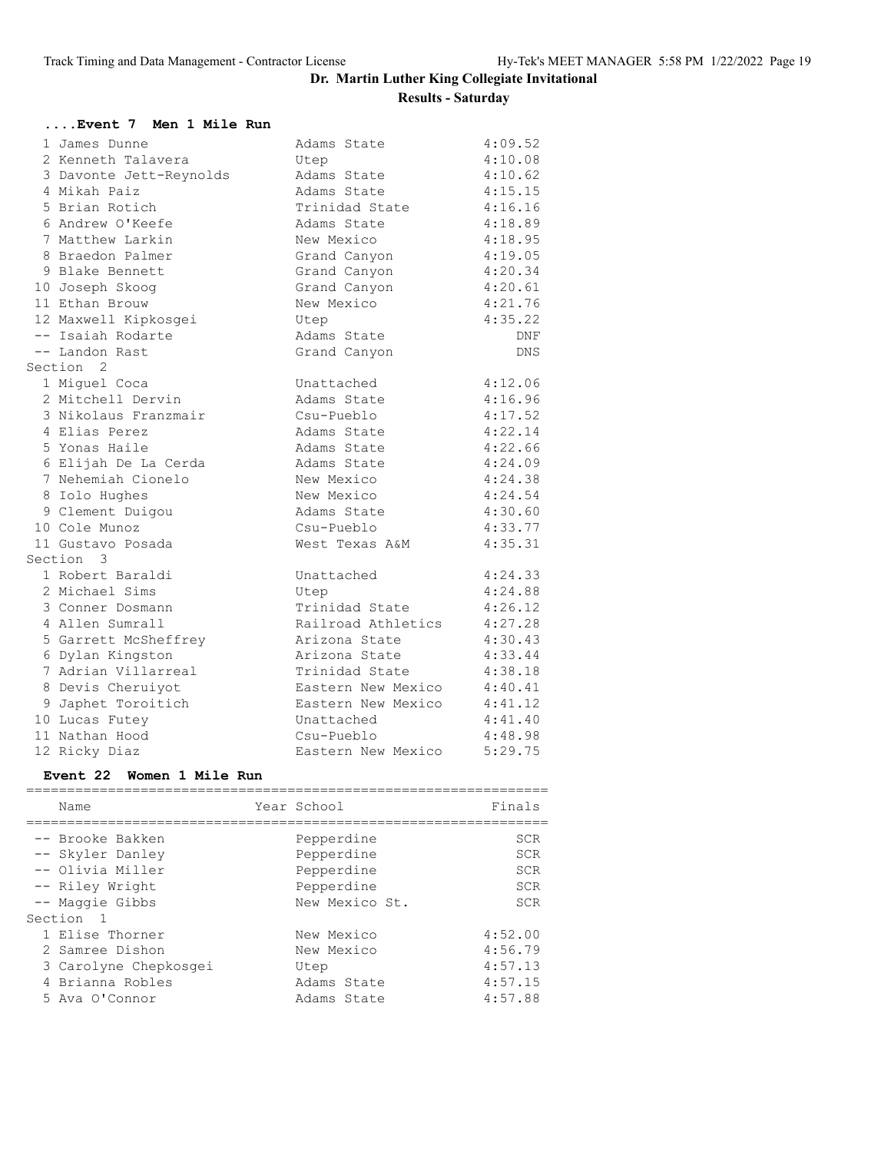| Event 7 Men 1 Mile Run  |                    |            |
|-------------------------|--------------------|------------|
| 1 James Dunne           | Adams State        | 4:09.52    |
| 2 Kenneth Talavera      | Utep               | 4:10.08    |
| 3 Davonte Jett-Reynolds | Adams State        | 4:10.62    |
| 4 Mikah Paiz            | Adams State        | 4:15.15    |
| 5 Brian Rotich          | Trinidad State     | 4:16.16    |
| 6 Andrew O'Keefe        | Adams State        | 4:18.89    |
| 7 Matthew Larkin        | New Mexico         | 4:18.95    |
| 8 Braedon Palmer        | Grand Canyon       | 4:19.05    |
| 9 Blake Bennett         | Grand Canyon       | 4:20.34    |
| 10 Joseph Skoog         | Grand Canyon       | 4:20.61    |
| 11 Ethan Brouw          | New Mexico         | 4:21.76    |
| 12 Maxwell Kipkosgei    | Utep               | 4:35.22    |
| -- Isaiah Rodarte       | Adams State        | DNF        |
| -- Landon Rast          | Grand Canyon       | <b>DNS</b> |
| Section <sub>2</sub>    |                    |            |
| 1 Miguel Coca           | Unattached         | 4:12.06    |
| 2 Mitchell Dervin       | Adams State        | 4:16.96    |
| 3 Nikolaus Franzmair    | Csu-Pueblo         | 4:17.52    |
| 4 Elias Perez           | Adams State        | 4:22.14    |
| 5 Yonas Haile           | Adams State        | 4:22.66    |
| 6 Elijah De La Cerda    | Adams State        | 4:24.09    |
| 7 Nehemiah Cionelo      | New Mexico         | 4:24.38    |
| 8 Iolo Hughes           | New Mexico         | 4:24.54    |
| 9 Clement Duigou        | Adams State        | 4:30.60    |
| 10 Cole Munoz           | Csu-Pueblo         | 4:33.77    |
| 11 Gustavo Posada       | West Texas A&M     | 4:35.31    |
| Section 3               |                    |            |
| 1 Robert Baraldi        | Unattached         | 4:24.33    |
| 2 Michael Sims          | Utep               | 4:24.88    |
| 3 Conner Dosmann        | Trinidad State     | 4:26.12    |
| 4 Allen Sumrall         | Railroad Athletics | 4:27.28    |
| 5 Garrett McSheffrey    | Arizona State      | 4:30.43    |
| 6 Dylan Kingston        | Arizona State      | 4:33.44    |
| 7 Adrian Villarreal     | Trinidad State     | 4:38.18    |
| 8 Devis Cheruiyot       | Eastern New Mexico | 4:40.41    |
| 9 Japhet Toroitich      | Eastern New Mexico | 4:41.12    |
| 10 Lucas Futey          | Unattached         | 4:41.40    |
| 11 Nathan Hood          | Csu-Pueblo         | 4:48.98    |
| 12 Ricky Diaz           | Eastern New Mexico | 5:29.75    |

#### **Event 22 Women 1 Mile Run**

| Name                                                                                                        | Year School                                                            | Finals                                               |
|-------------------------------------------------------------------------------------------------------------|------------------------------------------------------------------------|------------------------------------------------------|
| -- Brooke Bakken<br>-- Skyler Danley<br>-- Olivia Miller<br>-- Riley Wright<br>-- Maggie Gibbs<br>Section 1 | Pepperdine<br>Pepperdine<br>Pepperdine<br>Pepperdine<br>New Mexico St. | SCR<br><b>SCR</b><br><b>SCR</b><br>SCR<br><b>SCR</b> |
| 1 Elise Thorner<br>2 Samree Dishon<br>3 Carolyne Chepkosgei<br>4 Brianna Robles<br>5 Ava O'Connor           | New Mexico<br>New Mexico<br>Utep<br>Adams State<br>Adams State         | 4:52.00<br>4:56.79<br>4:57.13<br>4:57.15<br>4:57.88  |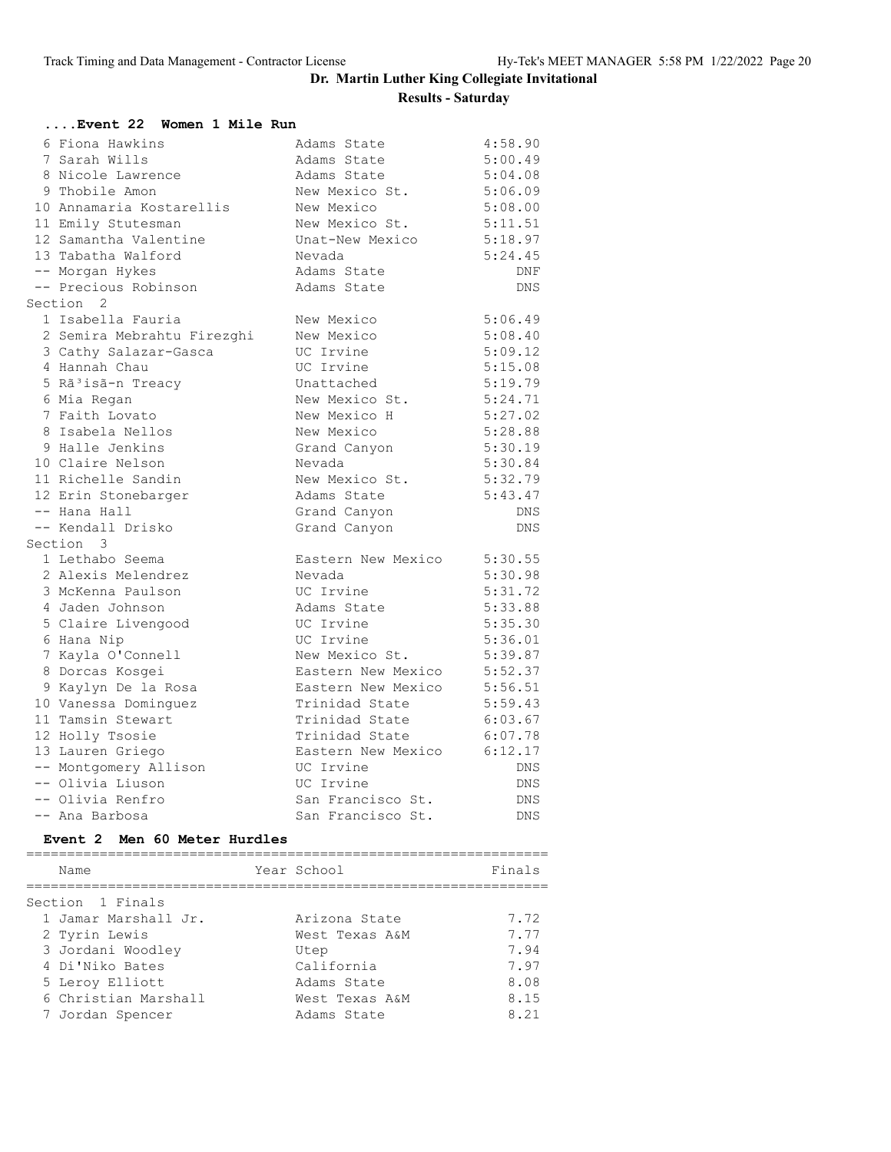| Event 22  Women 1 Mile Run     |                    |            |
|--------------------------------|--------------------|------------|
| 6 Fiona Hawkins                | Adams State        | 4:58.90    |
| 7 Sarah Wills                  | Adams State        | 5:00.49    |
| 8 Nicole Lawrence              | Adams State        | 5:04.08    |
| 9 Thobile Amon                 | New Mexico St.     | 5:06.09    |
| 10 Annamaria Kostarellis       | New Mexico         | 5:08.00    |
| 11 Emily Stutesman             | New Mexico St.     | 5:11.51    |
| 12 Samantha Valentine          | Unat-New Mexico    | 5:18.97    |
| 13 Tabatha Walford             | Nevada             | 5:24.45    |
| -- Morgan Hykes                | Adams State        | DNF        |
| -- Precious Robinson           | Adams State        | <b>DNS</b> |
| Section <sub>2</sub>           |                    |            |
| 1 Isabella Fauria              | New Mexico         | 5:06.49    |
| 2 Semira Mebrahtu Firezghi     | New Mexico         | 5:08.40    |
| 3 Cathy Salazar-Gasca          | UC Irvine          | 5:09.12    |
| 4 Hannah Chau                  | UC Irvine          | 5:15.08    |
| 5 Rã <sup>3</sup> isã-n Treacy | Unattached         | 5:19.79    |
| 6 Mia Regan                    | New Mexico St.     | 5:24.71    |
| 7 Faith Lovato                 | New Mexico H       | 5:27.02    |
| 8 Isabela Nellos               | New Mexico         | 5:28.88    |
| 9 Halle Jenkins                | Grand Canyon       | 5:30.19    |
| 10 Claire Nelson               | Nevada             | 5:30.84    |
| 11 Richelle Sandin             | New Mexico St.     | 5:32.79    |
| 12 Erin Stonebarger            | Adams State        | 5:43.47    |
| -- Hana Hall                   | Grand Canyon       | DNS        |
| -- Kendall Drisko              | Grand Canyon       | <b>DNS</b> |
| Section 3                      |                    |            |
| 1 Lethabo Seema                | Eastern New Mexico | 5:30.55    |
| 2 Alexis Melendrez             | Nevada             | 5:30.98    |
| 3 McKenna Paulson              | UC Irvine          | 5:31.72    |
| 4 Jaden Johnson                | Adams State        | 5:33.88    |
| 5 Claire Livengood             | UC Irvine          | 5:35.30    |
| 6 Hana Nip                     | UC Irvine          | 5:36.01    |
| 7 Kayla O'Connell              | New Mexico St.     | 5:39.87    |
| 8 Dorcas Kosgei                | Eastern New Mexico | 5:52.37    |
| 9 Kaylyn De la Rosa            | Eastern New Mexico | 5:56.51    |
| 10 Vanessa Dominquez           | Trinidad State     | 5:59.43    |
| 11 Tamsin Stewart              | Trinidad State     | 6:03.67    |
| 12 Holly Tsosie                | Trinidad State     | 6:07.78    |
| 13 Lauren Griego               | Eastern New Mexico | 6:12.17    |
| -- Montgomery Allison          | UC Irvine          | DNS        |
| -- Olivia Liuson               | UC Irvine          | DNS        |
| -- Olivia Renfro               | San Francisco St.  | DNS        |
| -- Ana Barbosa                 | San Francisco St.  | DNS        |
| Event 2 Men 60 Meter Hurdles   |                    |            |
|                                |                    |            |
| Name                           | Year School        | Finals     |
| Section 1 Finals               |                    |            |
| 1 Jamar Marshall Jr.           | Arizona State      | 7.72       |
| 2 Tyrin Lewis                  | West Texas A&M     | 7.77       |
| 3 Jordani Woodley              | Utep               | 7.94       |
| 4 Di'Niko Bates                | California         | 7.97       |
| 5 Leroy Elliott                | Adams State        | 8.08       |
| 6 Christian Marshall           | West Texas A&M     | 8.15       |
| 7 Jordan Spencer               | Adams State        | 8.21       |
|                                |                    |            |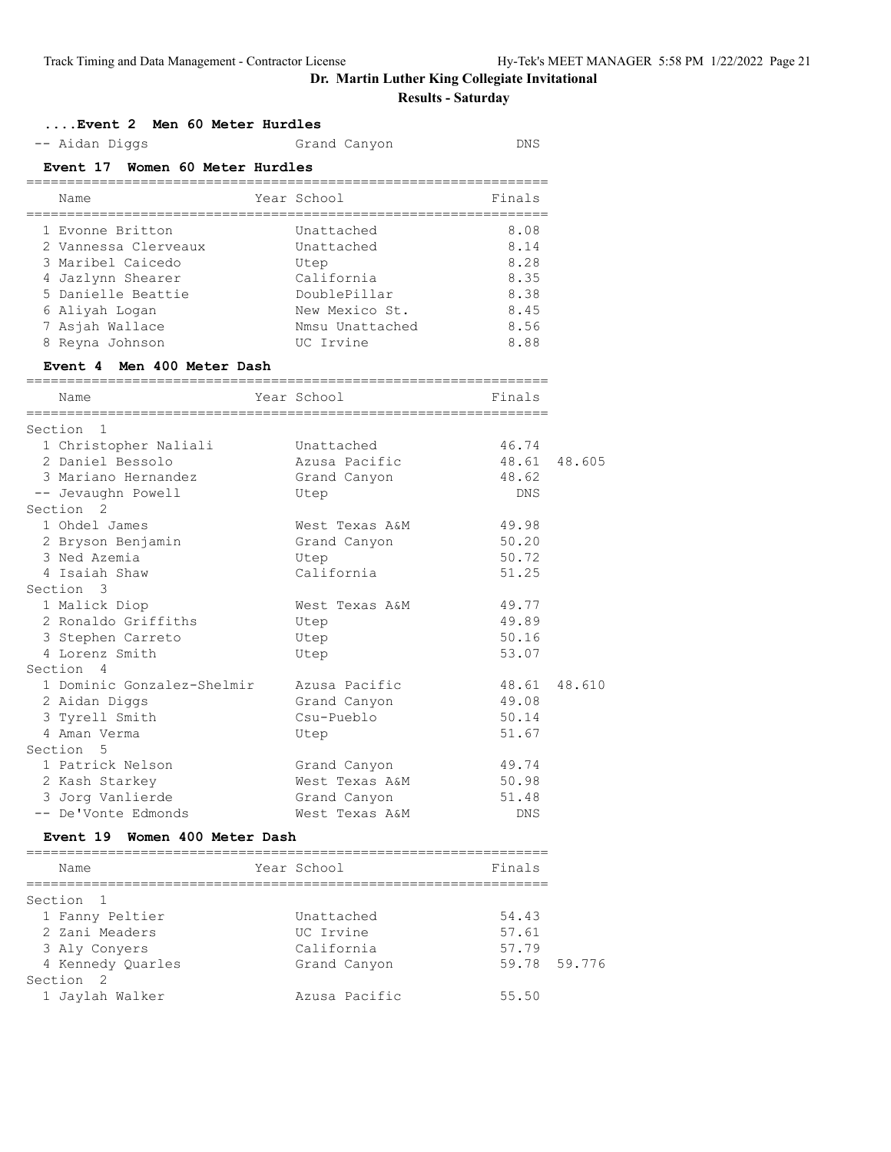# **Dr. Martin Luther King Collegiate Invitational**

# **Results - Saturday**

| -- Aidan Diggs                                 | Grand Canyon                | <b>DNS</b>                        |        |
|------------------------------------------------|-----------------------------|-----------------------------------|--------|
| Event 17 Women 60 Meter Hurdles                |                             |                                   |        |
| Name<br>====================================== | Year School                 | Finals                            |        |
| 1 Evonne Britton                               | Unattached                  | 8.08                              |        |
| 2 Vannessa Clerveaux                           | Unattached                  | 8.14                              |        |
| 3 Maribel Caicedo                              | Utep                        | 8.28                              |        |
| 4 Jazlynn Shearer                              | California                  | 8.35                              |        |
| 5 Danielle Beattie                             | DoublePillar                | 8.38                              |        |
| 6 Aliyah Loqan                                 | New Mexico St.              | 8.45                              |        |
| 7 Asjah Wallace                                | Nmsu Unattached             | 8.56                              |        |
| 8 Reyna Johnson                                | UC Irvine                   | 8.88                              |        |
| Event 4 Men 400 Meter Dash                     |                             |                                   |        |
| Name                                           | Year School                 | Finals                            |        |
| Section<br>-1                                  |                             |                                   |        |
| 1 Christopher Naliali                          | Unattached                  | 46.74                             |        |
| 2 Daniel Bessolo                               | Azusa Pacific               | 48.61                             | 48.605 |
| 3 Mariano Hernandez                            | Grand Canyon                | 48.62                             |        |
| -- Jevaughn Powell                             | Utep                        | DNS                               |        |
| Section <sub>2</sub>                           |                             |                                   |        |
| 1 Ohdel James                                  | West Texas A&M              | 49.98                             |        |
| 2 Bryson Benjamin                              | Grand Canyon                | 50.20                             |        |
| 3 Ned Azemia                                   | Utep                        | 50.72                             |        |
| 4 Isaiah Shaw                                  | California                  | 51.25                             |        |
| Section 3                                      |                             |                                   |        |
| 1 Malick Diop                                  | West Texas A&M              | 49.77                             |        |
| 2 Ronaldo Griffiths                            | Utep                        | 49.89                             |        |
| 3 Stephen Carreto                              | Utep                        | 50.16                             |        |
| 4 Lorenz Smith                                 | Utep                        | 53.07                             |        |
| Section 4                                      |                             |                                   |        |
| 1 Dominic Gonzalez-Shelmir                     | Azusa Pacific               | 48.61                             | 48.610 |
| 2 Aidan Diggs                                  | Grand Canyon                | 49.08                             |        |
| 3 Tyrell Smith                                 | Csu-Pueblo                  | 50.14                             |        |
| 4 Aman Verma                                   | Utep                        | 51.67                             |        |
| Section<br>5                                   |                             |                                   |        |
| 1 Patrick Nelson                               | Grand Canyon                | 49.74                             |        |
| 2 Kash Starkey                                 | West Texas A&M              | 50.98                             |        |
| 3 Jorg Vanlierde                               | Grand Canyon                | 51.48                             |        |
| -- De'Vonte Edmonds                            | West Texas A&M              | DNS                               |        |
| Event 19 Women 400 Meter Dash                  |                             |                                   |        |
| Name                                           | Year School                 | =======================<br>Finals |        |
| Section<br>-1                                  | =========================== |                                   |        |
| 1 Fanny Peltier                                | Unattached                  | 54.43                             |        |
| 2 Zani Meaders                                 | UC Irvine                   | 57.61                             |        |
| 3 Aly Conyers                                  | California                  | 57.79                             |        |
| 4 Kennedy Quarles                              | Grand Canyon                | 59.78                             | 59.776 |
| Section 2                                      |                             |                                   |        |

1 Jaylah Walker Azusa Pacific 55.50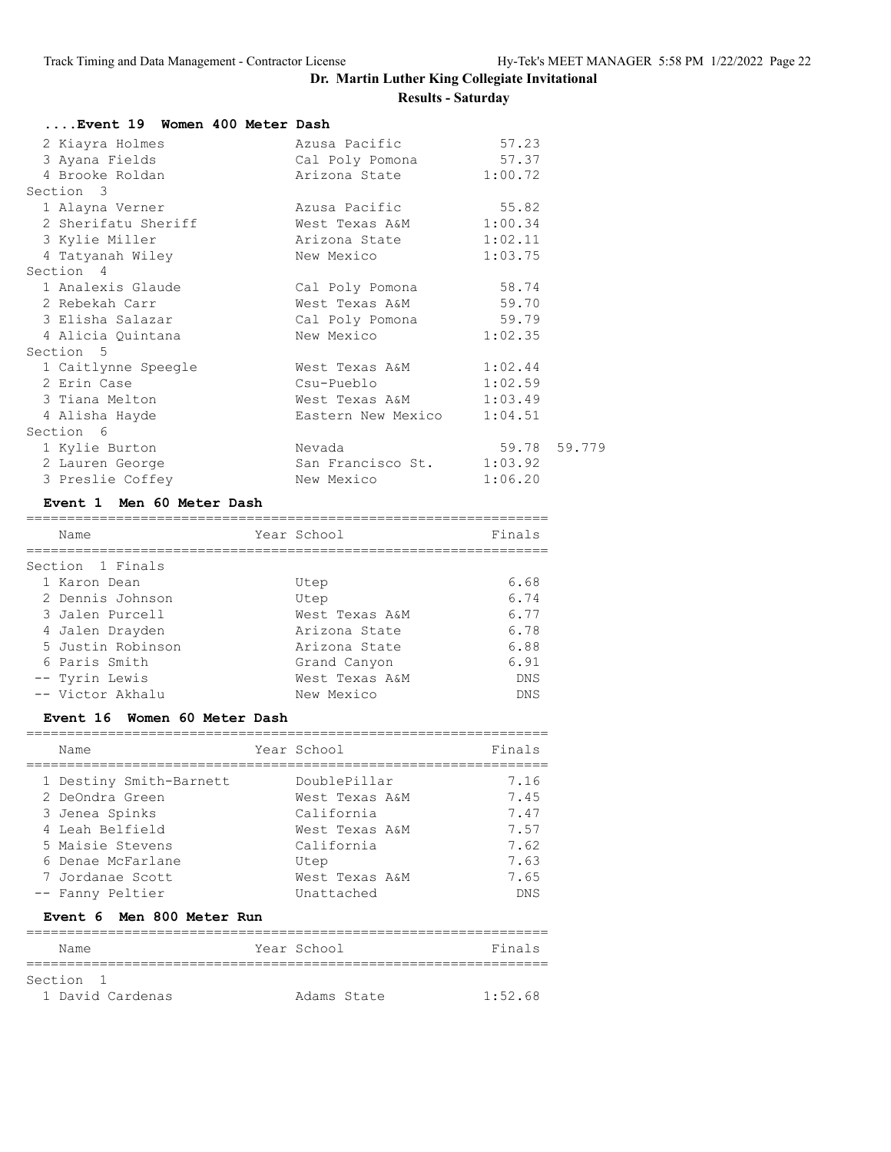| Event 19 Women 400 Meter Dash |                            |              |
|-------------------------------|----------------------------|--------------|
| 2 Kiayra Holmes               | Azusa Pacific              | 57.23        |
| 3 Ayana Fields                | Cal Poly Pomona 57.37      |              |
| 4 Brooke Roldan               | Arizona State 1:00.72      |              |
| Section 3                     |                            |              |
| 1 Alayna Verner               | Azusa Pacific              | 55.82        |
| 2 Sherifatu Sheriff           | West Texas A&M 1:00.34     |              |
| 3 Kylie Miller                | Arizona State 1:02.11      |              |
| 4 Tatyanah Wiley              | New Mexico                 | 1:03.75      |
| Section 4                     |                            |              |
| 1 Analexis Glaude             | Cal Poly Pomona 58.74      |              |
| 2 Rebekah Carr                | West Texas A&M 59.70       |              |
| 3 Elisha Salazar              | Cal Poly Pomona 59.79      |              |
| 4 Alicia Quintana             | New Mexico                 | 1:02.35      |
| Section 5                     |                            |              |
| 1 Caitlynne Speegle           | West Texas A&M 1:02.44     |              |
| 2 Erin Case                   | $Csu-Pueb1o$ $1:02.59$     |              |
| 3 Tiana Melton                | West Texas A&M 1:03.49     |              |
| 4 Alisha Hayde                | Eastern New Mexico 1:04.51 |              |
| Section 6                     |                            |              |
| 1 Kylie Burton                | Nevada                     | 59.78 59.779 |
| 2 Lauren George               | San Francisco St. 1:03.92  |              |
| 3 Preslie Coffey              | New Mexico                 | 1:06.20      |

#### **Event 1 Men 60 Meter Dash**

| Name              | Year School    | Finals     |
|-------------------|----------------|------------|
| Section 1 Finals  |                |            |
| 1 Karon Dean      | Utep           | 6.68       |
| 2 Dennis Johnson  | Utep           | 6.74       |
| 3 Jalen Purcell   | West Texas A&M | 6.77       |
| 4 Jalen Drayden   | Arizona State  | 6.78       |
| 5 Justin Robinson | Arizona State  | 6.88       |
| 6 Paris Smith     | Grand Canyon   | 6.91       |
| -- Tyrin Lewis    | West Texas A&M | DNS        |
| -- Victor Akhalu  | New Mexico     | <b>DNS</b> |

#### **Event 16 Women 60 Meter Dash**

| Name                    | Year School    | Finals     |
|-------------------------|----------------|------------|
| 1 Destiny Smith-Barnett | DoublePillar   | 7.16       |
| 2 DeOndra Green         | West Texas A&M | 7.45       |
| 3 Jenea Spinks          | California     | 7.47       |
| 4 Leah Belfield         | West Texas A&M | 7.57       |
| 5 Maisie Stevens        | California     | 7.62       |
| 6 Denae McFarlane       | Utep           | 7.63       |
| 7 Jordanae Scott        | West Texas A&M | 7.65       |
| -- Fanny Peltier        | Unattached     | <b>DNS</b> |

#### **Event 6 Men 800 Meter Run**

| Name                      | Year School |             | Finals  |
|---------------------------|-------------|-------------|---------|
|                           |             |             |         |
| Section<br>$\overline{1}$ |             |             |         |
| 1 David Cardenas          |             | Adams State | 1:52.68 |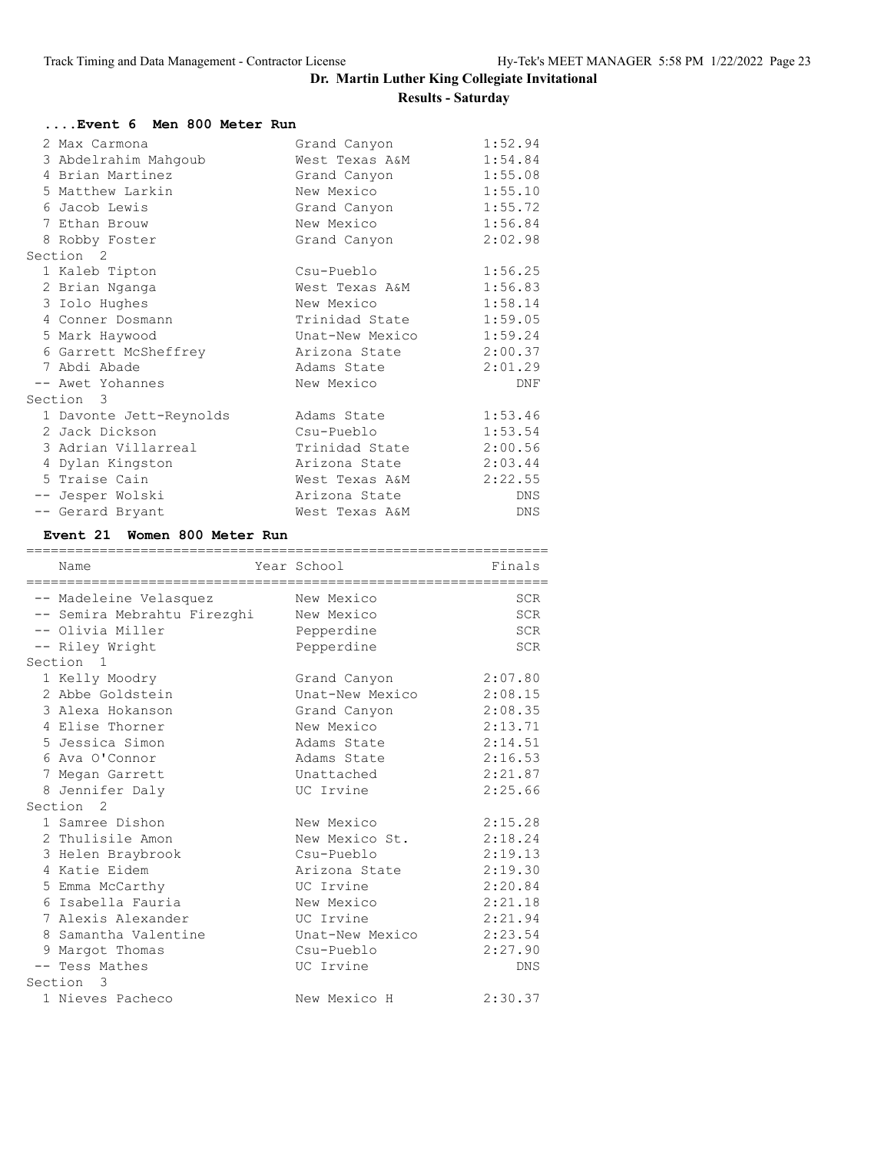| Event 6 Men 800 Meter Run |                 |            |
|---------------------------|-----------------|------------|
| 2 Max Carmona             | Grand Canyon    | 1:52.94    |
| 3 Abdelrahim Mahqoub      | West Texas A&M  | 1:54.84    |
| 4 Brian Martinez          | Grand Canyon    | 1:55.08    |
| 5 Matthew Larkin          | New Mexico      | 1:55.10    |
| 6 Jacob Lewis             | Grand Canyon    | 1:55.72    |
| 7 Ethan Brouw             | New Mexico      | 1:56.84    |
| 8 Robby Foster            | Grand Canyon    | 2:02.98    |
| Section 2                 |                 |            |
| 1 Kaleb Tipton            | Csu-Pueblo      | 1:56.25    |
| 2 Brian Nganga            | West Texas A&M  | 1:56.83    |
| 3 Iolo Hughes             | New Mexico      | 1:58.14    |
| 4 Conner Dosmann          | Trinidad State  | 1:59.05    |
| 5 Mark Haywood            | Unat-New Mexico | 1:59.24    |
| 6 Garrett McSheffrey      | Arizona State   | 2:00.37    |
| 7 Abdi Abade              | Adams State     | 2:01.29    |
| -- Awet Yohannes          | New Mexico      | DNF        |
| Section 3                 |                 |            |
| 1 Davonte Jett-Reynolds   | Adams State     | 1:53.46    |
| 2 Jack Dickson            | Csu-Pueblo      | 1:53.54    |
| 3 Adrian Villarreal       | Trinidad State  | 2:00.56    |
| 4 Dylan Kingston          | Arizona State   | 2:03.44    |
| 5 Traise Cain             | West Texas A&M  | 2:22.55    |
| -- Jesper Wolski          | Arizona State   | <b>DNS</b> |
| -- Gerard Bryant          | West Texas A&M  | DNS        |

### **Event 21 Women 800 Meter Run**

|           | Name                        |  | Year School     | Finals     |
|-----------|-----------------------------|--|-----------------|------------|
|           | -- Madeleine Velasquez      |  | New Mexico      | <b>SCR</b> |
|           | -- Semira Mebrahtu Firezghi |  | New Mexico      | SCR        |
|           | -- Olivia Miller            |  | Pepperdine      | SCR        |
|           | -- Riley Wright             |  | Pepperdine      | <b>SCR</b> |
|           | Section <sub>1</sub>        |  |                 |            |
|           | 1 Kelly Moodry              |  | Grand Canyon    | 2:07.80    |
|           | 2 Abbe Goldstein            |  | Unat-New Mexico | 2:08.15    |
|           | 3 Alexa Hokanson            |  | Grand Canyon    | 2:08.35    |
|           | 4 Elise Thorner             |  | New Mexico      | 2:13.71    |
|           | 5 Jessica Simon             |  | Adams State     | 2:14.51    |
|           | 6 Ava O'Connor              |  | Adams State     | 2:16.53    |
|           | 7 Megan Garrett             |  | Unattached      | 2:21.87    |
|           | 8 Jennifer Daly             |  | UC Irvine       | 2:25.66    |
|           | Section <sub>2</sub>        |  |                 |            |
|           | 1 Samree Dishon             |  | New Mexico      | 2:15.28    |
|           | 2 Thulisile Amon            |  | New Mexico St.  | 2:18.24    |
|           | 3 Helen Braybrook           |  | Csu-Pueblo      | 2:19.13    |
|           | 4 Katie Eidem               |  | Arizona State   | 2:19.30    |
|           | 5 Emma McCarthy             |  | UC Irvine       | 2:20.84    |
|           | 6 Isabella Fauria           |  | New Mexico      | 2:21.18    |
|           | 7 Alexis Alexander          |  | UC Irvine       | 2:21.94    |
|           | 8 Samantha Valentine        |  | Unat-New Mexico | 2:23.54    |
|           | 9 Margot Thomas             |  | Csu-Pueblo      | 2:27.90    |
|           | -- Tess Mathes              |  | UC Irvine       | DNS        |
| Section 3 |                             |  |                 |            |
|           | 1 Nieves Pacheco            |  | New Mexico H    | 2:30.37    |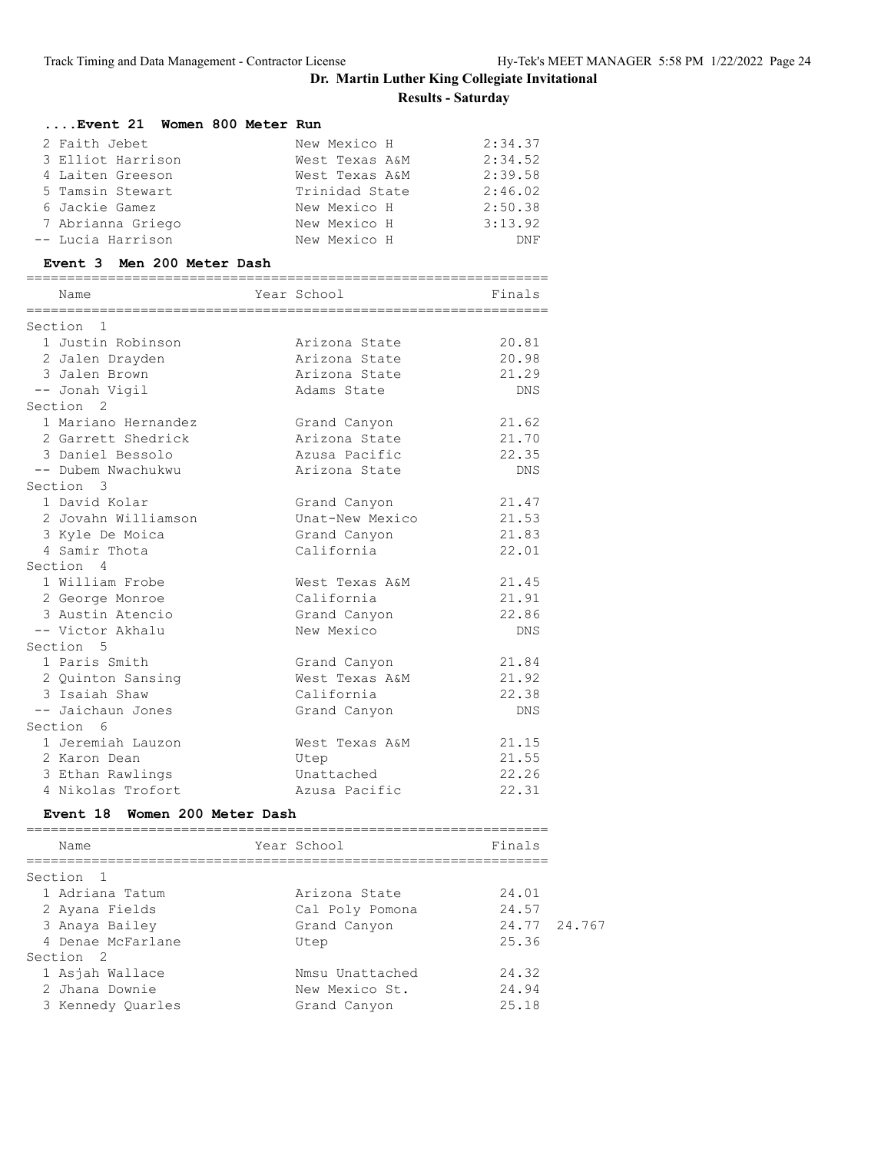| Event 21 Women 800 Meter Run        |                              |                |        |
|-------------------------------------|------------------------------|----------------|--------|
| 2 Faith Jebet                       | New Mexico H                 | 2:34.37        |        |
| 3 Elliot Harrison                   | West Texas A&M               | 2:34.52        |        |
| 4 Laiten Greeson                    | West Texas A&M               | 2:39.58        |        |
| 5 Tamsin Stewart                    | Trinidad State               | 2:46.02        |        |
| 6 Jackie Gamez                      | New Mexico H                 | 2:50.38        |        |
| 7 Abrianna Griego                   | New Mexico H                 | 3:13.92        |        |
| -- Lucia Harrison                   | New Mexico H                 | DNF            |        |
| Event 3 Men 200 Meter Dash          |                              |                |        |
| Name                                | Year School                  | Finals         |        |
| Section 1                           |                              |                |        |
| 1 Justin Robinson                   | Arizona State                | 20.81          |        |
| 2 Jalen Drayden                     | Arizona State                | 20.98          |        |
| 3 Jalen Brown                       | Arizona State                | 21.29          |        |
| -- Jonah Vigil                      | Adams State                  | <b>DNS</b>     |        |
| Section <sub>2</sub>                |                              |                |        |
| 1 Mariano Hernandez                 | Grand Canyon                 | 21.62          |        |
| 2 Garrett Shedrick                  | Arizona State                | 21.70          |        |
| 3 Daniel Bessolo                    | Azusa Pacific                | 22.35          |        |
| -- Dubem Nwachukwu                  | Arizona State                | DNS            |        |
| Section 3                           |                              |                |        |
| 1 David Kolar                       |                              | 21.47          |        |
|                                     | Grand Canyon                 | 21.53          |        |
| 2 Jovahn Williamson                 | Unat-New Mexico              | 21.83          |        |
| 3 Kyle De Moica                     | Grand Canyon                 |                |        |
| 4 Samir Thota                       | California                   | 22.01          |        |
| Section 4                           |                              |                |        |
| 1 William Frobe                     | West Texas A&M               | 21.45          |        |
| 2 George Monroe                     | California                   | 21.91          |        |
| 3 Austin Atencio                    | Grand Canyon                 | 22.86          |        |
| -- Victor Akhalu                    | New Mexico                   | <b>DNS</b>     |        |
| Section 5                           |                              |                |        |
| 1 Paris Smith                       | Grand Canyon                 | 21.84          |        |
| 2 Quinton Sansing                   | West Texas A&M               | 21.92          |        |
| 3 Isaiah Shaw                       | California                   | 22.38          |        |
| -- Jaichaun Jones                   | Grand Canyon                 | DNS            |        |
| Section 6                           |                              |                |        |
| 1 Jeremiah Lauzon                   | West Texas A&M               | 21.15          |        |
| 2 Karon Dean                        | Utep                         | 21.55          |        |
| 3 Ethan Rawlings                    | Unattached                   | 22.26          |        |
| 4 Nikolas Trofort                   | Azusa Pacific                | 22.31          |        |
| Event 18 Women 200 Meter Dash       | ---------------------------- |                |        |
| Name                                | Year School                  | Finals         |        |
| Section<br>1                        |                              |                |        |
| 1 Adriana Tatum                     | Arizona State                | 24.01          |        |
| 2 Ayana Fields                      | Cal Poly Pomona              | 24.57          |        |
|                                     |                              |                |        |
|                                     |                              |                |        |
| 3 Anaya Bailey<br>4 Denae McFarlane | Grand Canyon<br>Utep         | 24.77<br>25.36 | 24.767 |

 1 Asjah Wallace Nmsu Unattached 24.32 2 Jhana Downie New Mexico St. 24.94 3 Kennedy Quarles Grand Canyon 25.18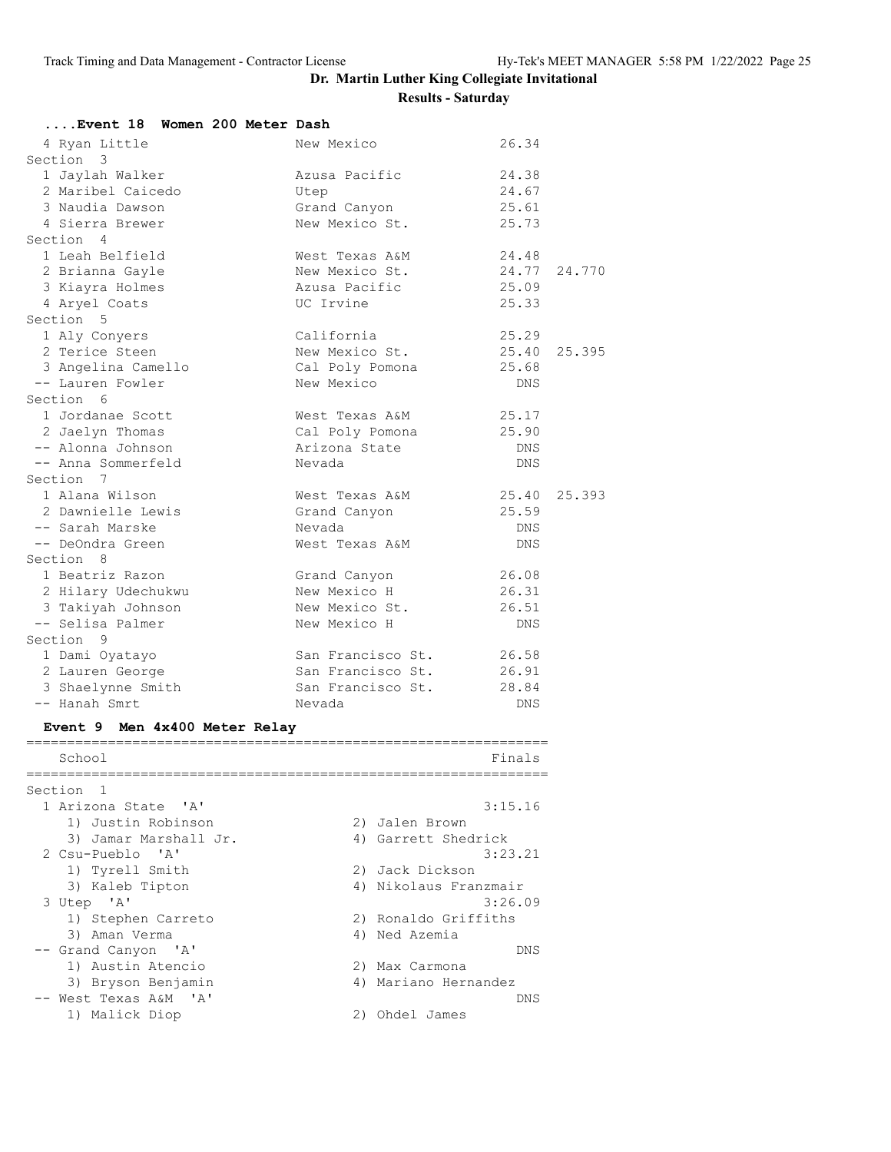| Event 18 Women 200 Meter Dash                                                     |                   |            |              |
|-----------------------------------------------------------------------------------|-------------------|------------|--------------|
| 4 Ryan Little                                                                     | New Mexico        | 26.34      |              |
| Section 3                                                                         |                   |            |              |
| 1 Jaylah Walker                                                                   | Azusa Pacific     | 24.38      |              |
| 2 Maribel Caicedo                                                                 | Utep              | 24.67      |              |
| 3 Naudia Dawson                                                                   | Grand Canyon      | 25.61      |              |
| 4 Sierra Brewer                                                                   | New Mexico St.    | 25.73      |              |
| Section 4                                                                         |                   |            |              |
| 1 Leah Belfield                                                                   | West Texas A&M    | 24.48      |              |
| 2 Brianna Gayle                                                                   | New Mexico St.    |            | 24.77 24.770 |
| 3 Kiayra Holmes                                                                   | Azusa Pacific     | 25.09      |              |
| 4 Aryel Coats                                                                     | UC Irvine         | 25.33      |              |
| Section 5                                                                         |                   |            |              |
| 1 Aly Conyers                                                                     | California        | 25.29      |              |
| 2 Terice Steen                                                                    | New Mexico St.    | 25.40      | 25.395       |
| 3 Angelina Camello                                                                | Cal Poly Pomona   | 25.68      |              |
| -- Lauren Fowler                                                                  | New Mexico        | <b>DNS</b> |              |
| Section 6                                                                         |                   |            |              |
| 1 Jordanae Scott                                                                  | West Texas A&M    | 25.17      |              |
| 2 Jaelyn Thomas                                                                   | Cal Poly Pomona   | 25.90      |              |
| -- Alonna Johnson                                                                 | Arizona State     | <b>DNS</b> |              |
| -- Anna Sommerfeld                                                                | Nevada            | <b>DNS</b> |              |
| Section 7                                                                         |                   |            |              |
| 1 Alana Wilson                                                                    | West Texas A&M    | 25.40      | 25.393       |
| 2 Dawnielle Lewis                                                                 | Grand Canyon      | 25.59      |              |
| -- Sarah Marske                                                                   | Nevada            | <b>DNS</b> |              |
| -- DeOndra Green                                                                  | West Texas A&M    | <b>DNS</b> |              |
| Section 8                                                                         |                   |            |              |
| 1 Beatriz Razon                                                                   | Grand Canyon      | 26.08      |              |
| 2 Hilary Udechukwu                                                                | New Mexico H      | 26.31      |              |
| 3 Takiyah Johnson                                                                 | New Mexico St.    | 26.51      |              |
| -- Selisa Palmer                                                                  | New Mexico H      | <b>DNS</b> |              |
| Section 9                                                                         |                   |            |              |
| 1 Dami Oyatayo                                                                    | San Francisco St. | 26.58      |              |
| 2 Lauren George                                                                   | San Francisco St. | 26.91      |              |
| 3 Shaelynne Smith                                                                 | San Francisco St. | 28.84      |              |
| -- Hanah Smrt                                                                     | Nevada            | <b>DNS</b> |              |
| $F_{\text{tanh}} = 0$ Man $\text{d} \cdot \text{d} \cdot \text{d} \cdot \text{d}$ |                   |            |              |

#### **Event 9 Men 4x400 Meter Relay** ================================================================

| School                | Finals                |
|-----------------------|-----------------------|
| Section <sub>1</sub>  |                       |
| 1 Arizona State 'A'   | 3:15.16               |
| 1) Justin Robinson    | 2) Jalen Brown        |
| 3) Jamar Marshall Jr. | 4) Garrett Shedrick   |
| 2 Csu-Pueblo 'A'      | 3:23.21               |
| 1) Tyrell Smith       | 2) Jack Dickson       |
| 3) Kaleb Tipton       | 4) Nikolaus Franzmair |
| 3 Utep 'A'            | 3:26.09               |
| 1) Stephen Carreto    | 2) Ronaldo Griffiths  |
| 3) Aman Verma         | 4) Ned Azemia         |
| -- Grand Canyon 'A'   | DNS                   |
| 1) Austin Atencio     | 2) Max Carmona        |
| 3) Bryson Benjamin    | 4) Mariano Hernandez  |
| -- West Texas A&M 'A' | DN S                  |
| 1) Malick Diop        | Ohdel James           |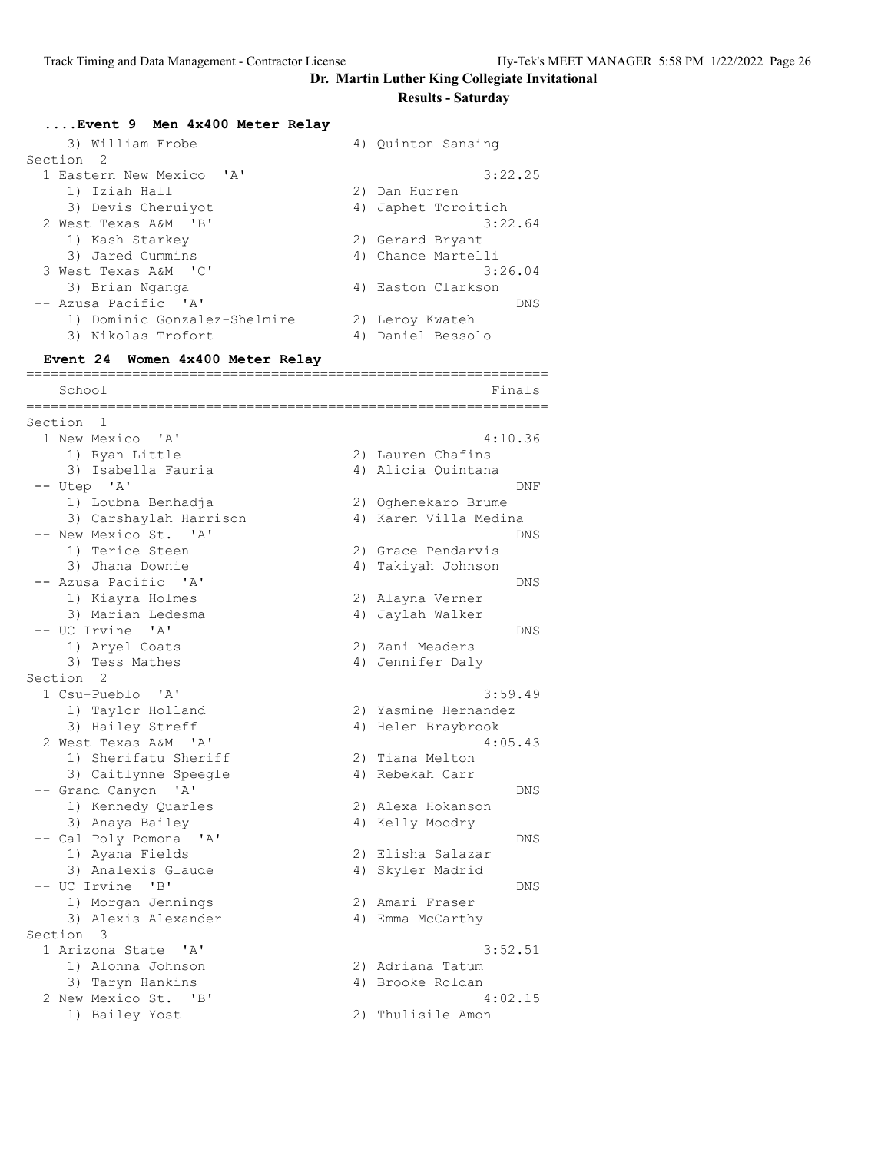# **Dr. Martin Luther King Collegiate Invitational**

# **Results - Saturday**

| Event 9 Men 4x400 Meter Relay         |                                         |
|---------------------------------------|-----------------------------------------|
| 3) William Frobe                      | 4) Quinton Sansing                      |
| Section<br>2                          |                                         |
| 1 Eastern New Mexico<br>$\mathsf{A}$  | 3:22.25                                 |
| 1) Iziah Hall                         | 2) Dan Hurren                           |
| 3) Devis Cheruiyot                    | 4) Japhet Toroitich                     |
| 2 West Texas A&M<br>$'$ B             | 3:22.64                                 |
| 1) Kash Starkey<br>3) Jared Cummins   | 2) Gerard Bryant<br>4) Chance Martelli  |
| 3 West Texas A&M 'C'                  | 3:26.04                                 |
| 3) Brian Nganga                       | 4) Easton Clarkson                      |
| -- Azusa Pacific 'A'                  | DNS                                     |
| 1) Dominic Gonzalez-Shelmire          | 2) Leroy Kwateh                         |
| 3) Nikolas Trofort                    | 4) Daniel Bessolo                       |
| Event 24 Women 4x400 Meter Relay      |                                         |
| =======================<br>School     | Finals                                  |
| ================                      |                                         |
| Section<br>-1                         |                                         |
| 1 New Mexico 'A'                      | 4:10.36                                 |
| 1) Ryan Little<br>3) Isabella Fauria  | 2) Lauren Chafins<br>4) Alicia Quintana |
| -- Utep 'A'                           | DNF                                     |
| 1) Loubna Benhadja                    | 2) Oghenekaro Brume                     |
| 3) Carshaylah Harrison                | 4) Karen Villa Medina                   |
| -- New Mexico St. 'A'                 | DNS                                     |
| 1) Terice Steen                       | 2) Grace Pendarvis                      |
| 3) Jhana Downie                       | 4) Takiyah Johnson                      |
| -- Azusa Pacific 'A'                  | DNS                                     |
| 1) Kiayra Holmes                      | 2) Alayna Verner                        |
| 3) Marian Ledesma                     | 4) Jaylah Walker                        |
| -- UC Irvine 'A'<br>1) Aryel Coats    | DNS<br>2) Zani Meaders                  |
| 3) Tess Mathes                        | 4) Jennifer Daly                        |
| Section 2                             |                                         |
| 1 Csu-Pueblo 'A'                      | 3:59.49                                 |
| 1) Taylor Holland                     | 2) Yasmine Hernandez                    |
| 3) Hailey Streff                      | 4) Helen Braybrook                      |
| 2 West Texas A&M 'A'                  | 4:05.43                                 |
| 1) Sherifatu Sheriff                  | 2) Tiana Melton                         |
| 3) Caitlynne Speegle<br>' A'          | 4) Rebekah Carr                         |
| -- Grand Canyon<br>1) Kennedy Quarles | DNS<br>2) Alexa Hokanson                |
| 3) Anaya Bailey                       | 4) Kelly Moodry                         |
| -- Cal Poly Pomona<br>' A'            | DNS                                     |
| 1) Ayana Fields                       | 2) Elisha Salazar                       |
| 3) Analexis Glaude                    | 4) Skyler Madrid                        |
| -- UC Irvine<br>$\mathbf{B}$          | DNS                                     |
| 1) Morgan Jennings                    | 2) Amari Fraser                         |
| 3) Alexis Alexander                   | 4) Emma McCarthy                        |
| Section 3                             |                                         |
| 1 Arizona State 'A'                   | 3:52.51                                 |
| 1) Alonna Johnson<br>3) Taryn Hankins | 2) Adriana Tatum<br>4) Brooke Roldan    |
| 2 New Mexico St. 'B'                  | 4:02.15                                 |
| 1) Bailey Yost                        | 2) Thulisile Amon                       |
|                                       |                                         |